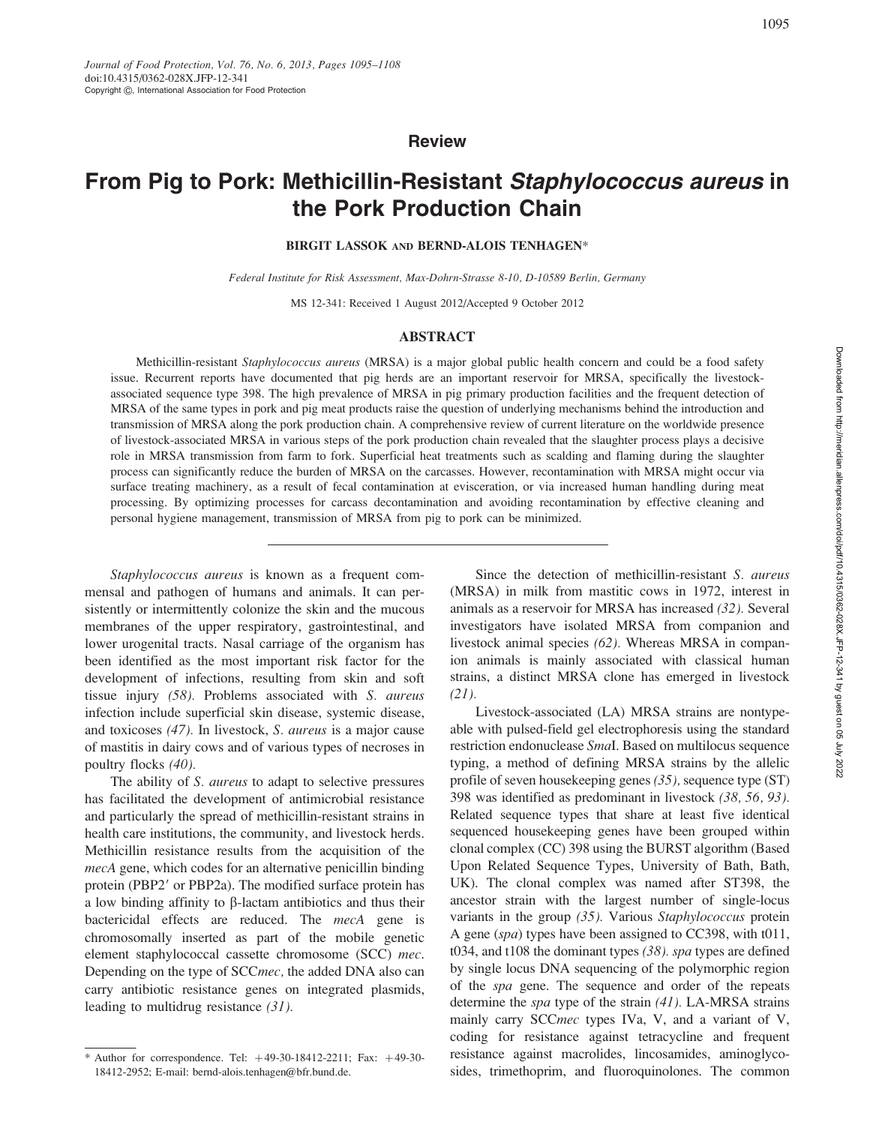**Review** 

# From Pig to Pork: Methicillin-Resistant Staphylococcus aureus in the Pork Production Chain

## BIRGIT LASSOK AND BERND-ALOIS TENHAGEN\*

Federal Institute for Risk Assessment, Max-Dohrn-Strasse 8-10, D-10589 Berlin, Germany

MS 12-341: Received 1 August 2012/Accepted 9 October 2012

## ABSTRACT

Methicillin-resistant Staphylococcus aureus (MRSA) is a major global public health concern and could be a food safety issue. Recurrent reports have documented that pig herds are an important reservoir for MRSA, specifically the livestockassociated sequence type 398. The high prevalence of MRSA in pig primary production facilities and the frequent detection of MRSA of the same types in pork and pig meat products raise the question of underlying mechanisms behind the introduction and transmission of MRSA along the pork production chain. A comprehensive review of current literature on the worldwide presence of livestock-associated MRSA in various steps of the pork production chain revealed that the slaughter process plays a decisive role in MRSA transmission from farm to fork. Superficial heat treatments such as scalding and flaming during the slaughter process can significantly reduce the burden of MRSA on the carcasses. However, recontamination with MRSA might occur via surface treating machinery, as a result of fecal contamination at evisceration, or via increased human handling during meat processing. By optimizing processes for carcass decontamination and avoiding recontamination by effective cleaning and personal hygiene management, transmission of MRSA from pig to pork can be minimized.

Staphylococcus aureus is known as a frequent commensal and pathogen of humans and animals. It can persistently or intermittently colonize the skin and the mucous membranes of the upper respiratory, gastrointestinal, and lower urogenital tracts. Nasal carriage of the organism has been identified as the most important risk factor for the development of infections, resulting from skin and soft tissue injury (58). Problems associated with S. aureus infection include superficial skin disease, systemic disease, and toxicoses (47). In livestock, S. aureus is a major cause of mastitis in dairy cows and of various types of necroses in poultry flocks (40).

The ability of S. *aureus* to adapt to selective pressures has facilitated the development of antimicrobial resistance and particularly the spread of methicillin-resistant strains in health care institutions, the community, and livestock herds. Methicillin resistance results from the acquisition of the mecA gene, which codes for an alternative penicillin binding protein (PBP2' or PBP2a). The modified surface protein has a low binding affinity to  $\beta$ -lactam antibiotics and thus their bactericidal effects are reduced. The mecA gene is chromosomally inserted as part of the mobile genetic element staphylococcal cassette chromosome (SCC) mec. Depending on the type of SCCmec, the added DNA also can carry antibiotic resistance genes on integrated plasmids, leading to multidrug resistance (31).

Since the detection of methicillin-resistant S. aureus (MRSA) in milk from mastitic cows in 1972, interest in animals as a reservoir for MRSA has increased (32). Several investigators have isolated MRSA from companion and livestock animal species (62). Whereas MRSA in companion animals is mainly associated with classical human strains, a distinct MRSA clone has emerged in livestock  $(21)$ .

Livestock-associated (LA) MRSA strains are nontypeable with pulsed-field gel electrophoresis using the standard restriction endonuclease SmaI. Based on multilocus sequence typing, a method of defining MRSA strains by the allelic profile of seven housekeeping genes (35), sequence type (ST) 398 was identified as predominant in livestock (38, 56, 93). Related sequence types that share at least five identical sequenced housekeeping genes have been grouped within clonal complex (CC) 398 using the BURST algorithm (Based Upon Related Sequence Types, University of Bath, Bath, UK). The clonal complex was named after ST398, the ancestor strain with the largest number of single-locus variants in the group (35). Various Staphylococcus protein A gene (spa) types have been assigned to CC398, with t011, t034, and t108 the dominant types (38). spa types are defined by single locus DNA sequencing of the polymorphic region of the spa gene. The sequence and order of the repeats determine the spa type of the strain (41). LA-MRSA strains mainly carry SCCmec types IVa, V, and a variant of V, coding for resistance against tetracycline and frequent resistance against macrolides, lincosamides, aminoglycosides, trimethoprim, and fluoroquinolones. The common

<sup>\*</sup> Author for correspondence. Tel:  $+49-30-18412-2211$ ; Fax:  $+49-30-$ 18412-2952; E-mail: bernd-alois.tenhagen@bfr.bund.de.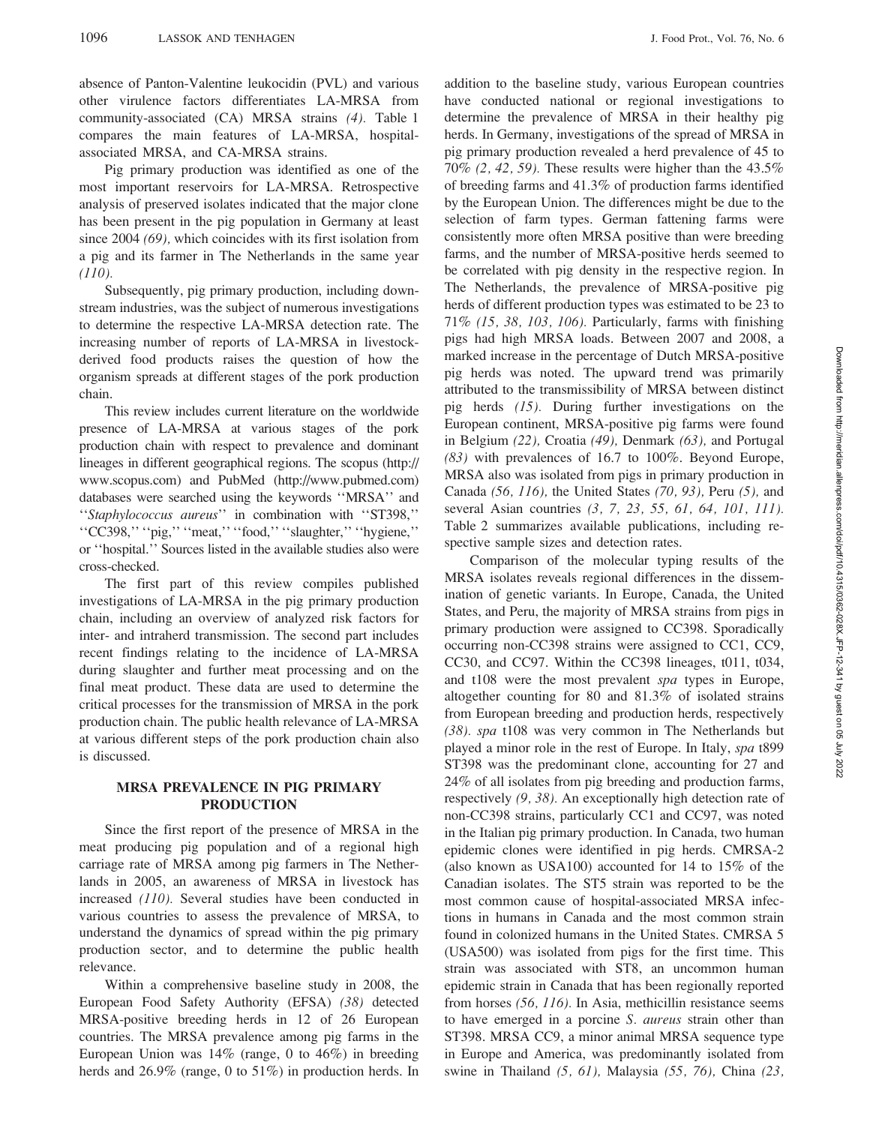absence of Panton-Valentine leukocidin (PVL) and various other virulence factors differentiates LA-MRSA from community-associated (CA) MRSA strains (4). Table 1 compares the main features of LA-MRSA, hospitalassociated MRSA, and CA-MRSA strains.

Pig primary production was identified as one of the most important reservoirs for LA-MRSA. Retrospective analysis of preserved isolates indicated that the major clone has been present in the pig population in Germany at least since 2004 (69), which coincides with its first isolation from a pig and its farmer in The Netherlands in the same year  $(110).$ 

Subsequently, pig primary production, including downstream industries, was the subject of numerous investigations to determine the respective LA-MRSA detection rate. The increasing number of reports of LA-MRSA in livestockderived food products raises the question of how the organism spreads at different stages of the pork production chain.

This review includes current literature on the worldwide presence of LA-MRSA at various stages of the pork production chain with respect to prevalence and dominant lineages in different geographical regions. The scopus (http:// www.scopus.com) and PubMed (http://www.pubmed.com) databases were searched using the keywords ''MRSA'' and ''Staphylococcus aureus'' in combination with ''ST398,'' ''CC398,'' ''pig,'' ''meat,'' ''food,'' ''slaughter,'' ''hygiene,'' or ''hospital.'' Sources listed in the available studies also were cross-checked.

The first part of this review compiles published investigations of LA-MRSA in the pig primary production chain, including an overview of analyzed risk factors for inter- and intraherd transmission. The second part includes recent findings relating to the incidence of LA-MRSA during slaughter and further meat processing and on the final meat product. These data are used to determine the critical processes for the transmission of MRSA in the pork production chain. The public health relevance of LA-MRSA at various different steps of the pork production chain also is discussed.

# MRSA PREVALENCE IN PIG PRIMARY PRODUCTION

Since the first report of the presence of MRSA in the meat producing pig population and of a regional high carriage rate of MRSA among pig farmers in The Netherlands in 2005, an awareness of MRSA in livestock has increased (110). Several studies have been conducted in various countries to assess the prevalence of MRSA, to understand the dynamics of spread within the pig primary production sector, and to determine the public health relevance.

Within a comprehensive baseline study in 2008, the European Food Safety Authority (EFSA) (38) detected MRSA-positive breeding herds in 12 of 26 European countries. The MRSA prevalence among pig farms in the European Union was  $14\%$  (range, 0 to  $46\%$ ) in breeding herds and 26.9% (range, 0 to 51%) in production herds. In addition to the baseline study, various European countries have conducted national or regional investigations to determine the prevalence of MRSA in their healthy pig herds. In Germany, investigations of the spread of MRSA in pig primary production revealed a herd prevalence of 45 to 70% (2, 42, 59). These results were higher than the  $43.5\%$ of breeding farms and 41.3% of production farms identified by the European Union. The differences might be due to the selection of farm types. German fattening farms were consistently more often MRSA positive than were breeding farms, and the number of MRSA-positive herds seemed to be correlated with pig density in the respective region. In The Netherlands, the prevalence of MRSA-positive pig herds of different production types was estimated to be 23 to 71% (15, 38, 103, 106). Particularly, farms with finishing pigs had high MRSA loads. Between 2007 and 2008, a marked increase in the percentage of Dutch MRSA-positive pig herds was noted. The upward trend was primarily attributed to the transmissibility of MRSA between distinct pig herds (15). During further investigations on the European continent, MRSA-positive pig farms were found in Belgium (22), Croatia (49), Denmark (63), and Portugal (83) with prevalences of 16.7 to 100%. Beyond Europe, MRSA also was isolated from pigs in primary production in Canada (56, 116), the United States (70, 93), Peru (5), and several Asian countries (3, 7, 23, 55, 61, 64, 101, 111). Table 2 summarizes available publications, including respective sample sizes and detection rates.

Comparison of the molecular typing results of the MRSA isolates reveals regional differences in the dissemination of genetic variants. In Europe, Canada, the United States, and Peru, the majority of MRSA strains from pigs in primary production were assigned to CC398. Sporadically occurring non-CC398 strains were assigned to CC1, CC9, CC30, and CC97. Within the CC398 lineages, t011, t034, and t108 were the most prevalent spa types in Europe, altogether counting for 80 and 81.3% of isolated strains from European breeding and production herds, respectively (38). spa t108 was very common in The Netherlands but played a minor role in the rest of Europe. In Italy, spa t899 ST398 was the predominant clone, accounting for 27 and 24% of all isolates from pig breeding and production farms, respectively (9, 38). An exceptionally high detection rate of non-CC398 strains, particularly CC1 and CC97, was noted in the Italian pig primary production. In Canada, two human epidemic clones were identified in pig herds. CMRSA-2 (also known as USA100) accounted for 14 to 15% of the Canadian isolates. The ST5 strain was reported to be the most common cause of hospital-associated MRSA infections in humans in Canada and the most common strain found in colonized humans in the United States. CMRSA 5 (USA500) was isolated from pigs for the first time. This strain was associated with ST8, an uncommon human epidemic strain in Canada that has been regionally reported from horses (56, 116). In Asia, methicillin resistance seems to have emerged in a porcine S. aureus strain other than ST398. MRSA CC9, a minor animal MRSA sequence type in Europe and America, was predominantly isolated from swine in Thailand (5, 61), Malaysia (55, 76), China (23,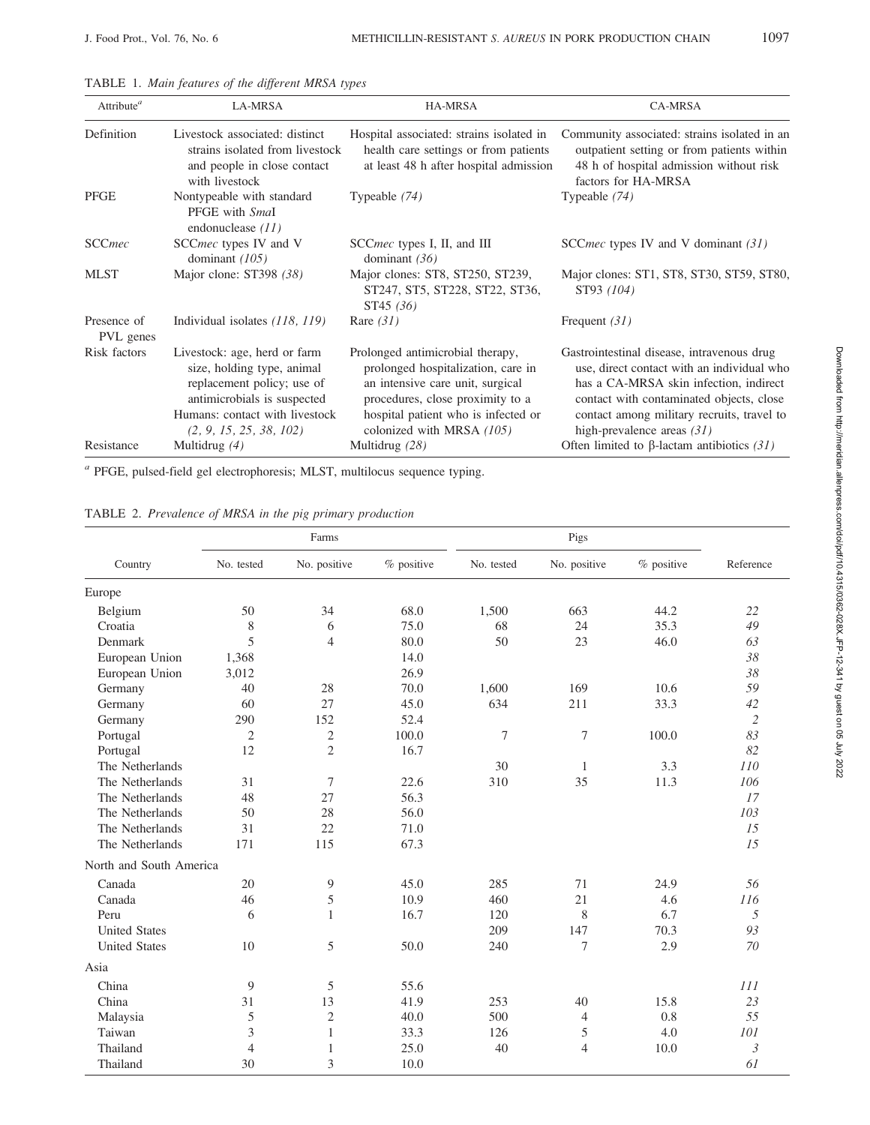| Attribute <sup><math>a</math></sup> | LA-MRSA                                                                                                                                                                              | <b>HA-MRSA</b>                                                                                                                                                                                                     | <b>CA-MRSA</b>                                                                                                                                                                                                                                               |
|-------------------------------------|--------------------------------------------------------------------------------------------------------------------------------------------------------------------------------------|--------------------------------------------------------------------------------------------------------------------------------------------------------------------------------------------------------------------|--------------------------------------------------------------------------------------------------------------------------------------------------------------------------------------------------------------------------------------------------------------|
| Definition                          | Livestock associated: distinct<br>strains isolated from livestock<br>and people in close contact<br>with livestock                                                                   | Hospital associated: strains isolated in<br>health care settings or from patients<br>at least 48 h after hospital admission                                                                                        | Community associated: strains isolated in an<br>outpatient setting or from patients within<br>48 h of hospital admission without risk<br>factors for HA-MRSA                                                                                                 |
| PFGE                                | Nontypeable with standard<br>PFGE with Smal<br>endonuclease $(11)$                                                                                                                   | Typeable $(74)$                                                                                                                                                                                                    | Typeable (74)                                                                                                                                                                                                                                                |
| <b>SCCmec</b>                       | SCC <i>mec</i> types IV and V<br>dominant $(105)$                                                                                                                                    | SCC <i>mec</i> types I, II, and III<br>dominant $(36)$                                                                                                                                                             | SCC <i>mec</i> types IV and V dominant (31)                                                                                                                                                                                                                  |
| <b>MLST</b>                         | Major clone: ST398 (38)                                                                                                                                                              | Major clones: ST8, ST250, ST239,<br>ST247, ST5, ST228, ST22, ST36,<br>ST45(36)                                                                                                                                     | Major clones: ST1, ST8, ST30, ST59, ST80,<br>ST93 (104)                                                                                                                                                                                                      |
| Presence of<br>PVL genes            | Individual isolates (118, 119)                                                                                                                                                       | Rare $(31)$                                                                                                                                                                                                        | Frequent $(31)$                                                                                                                                                                                                                                              |
| Risk factors                        | Livestock: age, herd or farm<br>size, holding type, animal<br>replacement policy; use of<br>antimicrobials is suspected<br>Humans: contact with livestock<br>(2, 9, 15, 25, 38, 102) | Prolonged antimicrobial therapy,<br>prolonged hospitalization, care in<br>an intensive care unit, surgical<br>procedures, close proximity to a<br>hospital patient who is infected or<br>colonized with MRSA (105) | Gastrointestinal disease, intravenous drug<br>use, direct contact with an individual who<br>has a CA-MRSA skin infection, indirect<br>contact with contaminated objects, close<br>contact among military recruits, travel to<br>high-prevalence areas $(31)$ |
| Resistance                          | Multidrug $(4)$                                                                                                                                                                      | Multidrug (28)                                                                                                                                                                                                     | Often limited to $\beta$ -lactam antibiotics (31)                                                                                                                                                                                                            |

TABLE 1. Main features of the different MRSA types

<sup>a</sup> PFGE, pulsed-field gel electrophoresis; MLST, multilocus sequence typing.

TABLE 2. Prevalence of MRSA in the pig primary production

|                         | Farms          |                |            |            |                |            |                |
|-------------------------|----------------|----------------|------------|------------|----------------|------------|----------------|
| Country                 | No. tested     | No. positive   | % positive | No. tested | No. positive   | % positive | Reference      |
| Europe                  |                |                |            |            |                |            |                |
| Belgium                 | 50             | 34             | 68.0       | 1,500      | 663            | 44.2       | 22             |
| Croatia                 | 8              | 6              | 75.0       | 68         | 24             | 35.3       | 49             |
| Denmark                 | 5              | $\overline{4}$ | 80.0       | 50         | 23             | 46.0       | 63             |
| European Union          | 1,368          |                | 14.0       |            |                |            | 38             |
| European Union          | 3,012          |                | 26.9       |            |                |            | 38             |
| Germany                 | 40             | 28             | 70.0       | 1,600      | 169            | 10.6       | 59             |
| Germany                 | 60             | 27             | 45.0       | 634        | 211            | 33.3       | 42             |
| Germany                 | 290            | 152            | 52.4       |            |                |            | $\overline{c}$ |
| Portugal                | $\mathfrak{2}$ | $\overline{c}$ | 100.0      | 7          | 7              | 100.0      | 83             |
| Portugal                | 12             | $\overline{2}$ | 16.7       |            |                |            | 82             |
| The Netherlands         |                |                |            | 30         | $\mathbf{1}$   | 3.3        | 110            |
| The Netherlands         | 31             | $\overline{7}$ | 22.6       | 310        | 35             | 11.3       | 106            |
| The Netherlands         | 48             | 27             | 56.3       |            |                |            | 17             |
| The Netherlands         | 50             | 28             | 56.0       |            |                |            | 103            |
| The Netherlands         | 31             | 22             | 71.0       |            |                |            | 15             |
| The Netherlands         | 171            | 115            | 67.3       |            |                |            | 15             |
| North and South America |                |                |            |            |                |            |                |
| Canada                  | 20             | 9              | 45.0       | 285        | 71             | 24.9       | 56             |
| Canada                  | 46             | $\mathfrak s$  | 10.9       | 460        | 21             | 4.6        | 116            |
| Peru                    | 6              | $\mathbf{1}$   | 16.7       | 120        | $8\,$          | 6.7        | 5              |
| <b>United States</b>    |                |                |            | 209        | 147            | 70.3       | 93             |
| <b>United States</b>    | 10             | 5              | 50.0       | 240        | 7              | 2.9        | 70             |
| Asia                    |                |                |            |            |                |            |                |
| China                   | 9              | 5              | 55.6       |            |                |            | 111            |
| China                   | 31             | 13             | 41.9       | 253        | 40             | 15.8       | 23             |
| Malaysia                | 5              | $\overline{2}$ | 40.0       | 500        | $\overline{4}$ | 0.8        | 55             |
| Taiwan                  | 3              | $\mathbf{1}$   | 33.3       | 126        | 5              | 4.0        | 101            |
| Thailand                | $\overline{4}$ | $\mathbf{1}$   | 25.0       | 40         | $\overline{4}$ | 10.0       | $\mathfrak{Z}$ |
| Thailand                | 30             | 3              | 10.0       |            |                |            | 61             |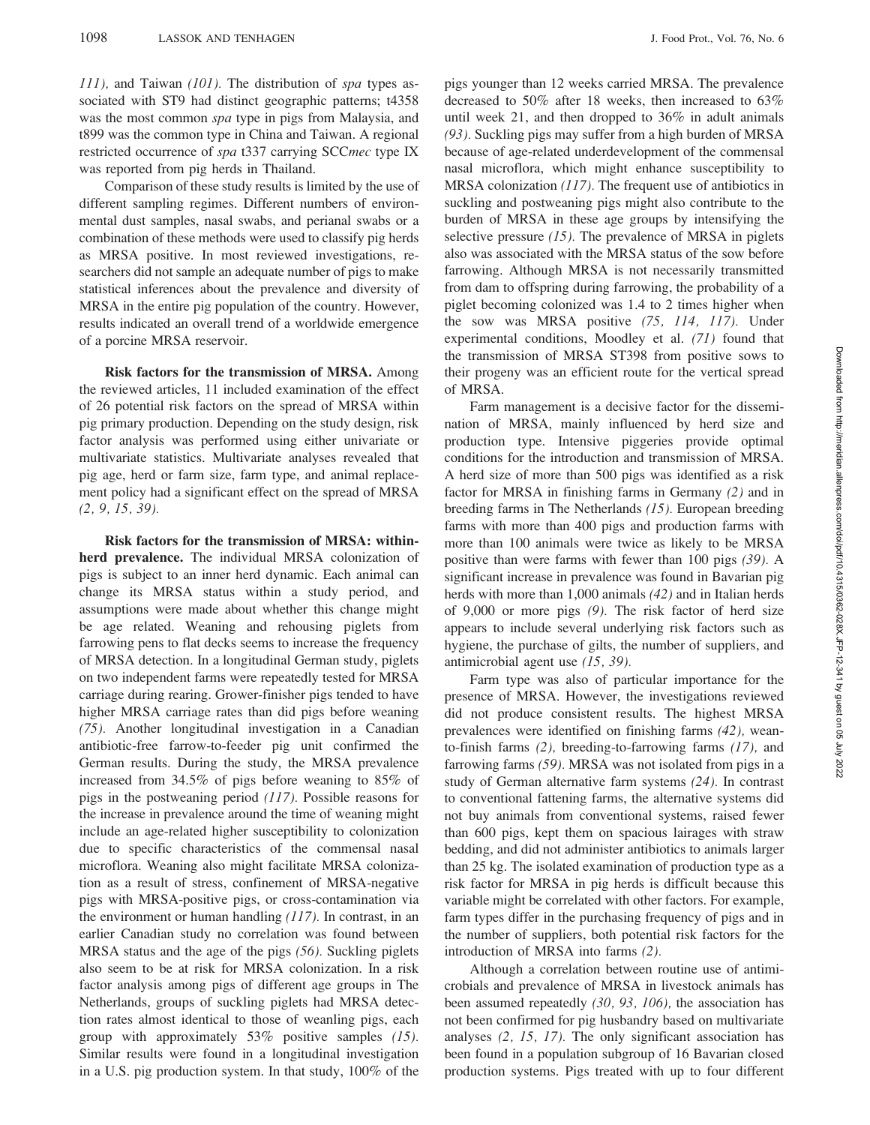111), and Taiwan (101). The distribution of spa types associated with ST9 had distinct geographic patterns; t4358 was the most common spa type in pigs from Malaysia, and t899 was the common type in China and Taiwan. A regional restricted occurrence of spa t337 carrying SCCmec type IX was reported from pig herds in Thailand.

Comparison of these study results is limited by the use of different sampling regimes. Different numbers of environmental dust samples, nasal swabs, and perianal swabs or a combination of these methods were used to classify pig herds as MRSA positive. In most reviewed investigations, researchers did not sample an adequate number of pigs to make statistical inferences about the prevalence and diversity of MRSA in the entire pig population of the country. However, results indicated an overall trend of a worldwide emergence of a porcine MRSA reservoir.

Risk factors for the transmission of MRSA. Among the reviewed articles, 11 included examination of the effect of 26 potential risk factors on the spread of MRSA within pig primary production. Depending on the study design, risk factor analysis was performed using either univariate or multivariate statistics. Multivariate analyses revealed that pig age, herd or farm size, farm type, and animal replacement policy had a significant effect on the spread of MRSA (2, 9, 15, 39).

Risk factors for the transmission of MRSA: withinherd prevalence. The individual MRSA colonization of pigs is subject to an inner herd dynamic. Each animal can change its MRSA status within a study period, and assumptions were made about whether this change might be age related. Weaning and rehousing piglets from farrowing pens to flat decks seems to increase the frequency of MRSA detection. In a longitudinal German study, piglets on two independent farms were repeatedly tested for MRSA carriage during rearing. Grower-finisher pigs tended to have higher MRSA carriage rates than did pigs before weaning (75). Another longitudinal investigation in a Canadian antibiotic-free farrow-to-feeder pig unit confirmed the German results. During the study, the MRSA prevalence increased from 34.5% of pigs before weaning to 85% of pigs in the postweaning period (117). Possible reasons for the increase in prevalence around the time of weaning might include an age-related higher susceptibility to colonization due to specific characteristics of the commensal nasal microflora. Weaning also might facilitate MRSA colonization as a result of stress, confinement of MRSA-negative pigs with MRSA-positive pigs, or cross-contamination via the environment or human handling  $(117)$ . In contrast, in an earlier Canadian study no correlation was found between MRSA status and the age of the pigs (56). Suckling piglets also seem to be at risk for MRSA colonization. In a risk factor analysis among pigs of different age groups in The Netherlands, groups of suckling piglets had MRSA detection rates almost identical to those of weanling pigs, each group with approximately  $53\%$  positive samples (15). Similar results were found in a longitudinal investigation in a U.S. pig production system. In that study, 100% of the pigs younger than 12 weeks carried MRSA. The prevalence decreased to 50% after 18 weeks, then increased to 63% until week 21, and then dropped to 36% in adult animals (93). Suckling pigs may suffer from a high burden of MRSA because of age-related underdevelopment of the commensal nasal microflora, which might enhance susceptibility to MRSA colonization (117). The frequent use of antibiotics in suckling and postweaning pigs might also contribute to the burden of MRSA in these age groups by intensifying the selective pressure  $(15)$ . The prevalence of MRSA in piglets also was associated with the MRSA status of the sow before farrowing. Although MRSA is not necessarily transmitted from dam to offspring during farrowing, the probability of a piglet becoming colonized was 1.4 to 2 times higher when the sow was MRSA positive (75, 114, 117). Under experimental conditions, Moodley et al. (71) found that the transmission of MRSA ST398 from positive sows to their progeny was an efficient route for the vertical spread of MRSA.

Farm management is a decisive factor for the dissemination of MRSA, mainly influenced by herd size and production type. Intensive piggeries provide optimal conditions for the introduction and transmission of MRSA. A herd size of more than 500 pigs was identified as a risk factor for MRSA in finishing farms in Germany (2) and in breeding farms in The Netherlands (15). European breeding farms with more than 400 pigs and production farms with more than 100 animals were twice as likely to be MRSA positive than were farms with fewer than 100 pigs (39). A significant increase in prevalence was found in Bavarian pig herds with more than 1,000 animals (42) and in Italian herds of 9,000 or more pigs (9). The risk factor of herd size appears to include several underlying risk factors such as hygiene, the purchase of gilts, the number of suppliers, and antimicrobial agent use (15, 39).

Farm type was also of particular importance for the presence of MRSA. However, the investigations reviewed did not produce consistent results. The highest MRSA prevalences were identified on finishing farms (42), weanto-finish farms (2), breeding-to-farrowing farms (17), and farrowing farms (59). MRSA was not isolated from pigs in a study of German alternative farm systems (24). In contrast to conventional fattening farms, the alternative systems did not buy animals from conventional systems, raised fewer than 600 pigs, kept them on spacious lairages with straw bedding, and did not administer antibiotics to animals larger than 25 kg. The isolated examination of production type as a risk factor for MRSA in pig herds is difficult because this variable might be correlated with other factors. For example, farm types differ in the purchasing frequency of pigs and in the number of suppliers, both potential risk factors for the introduction of MRSA into farms (2).

Although a correlation between routine use of antimicrobials and prevalence of MRSA in livestock animals has been assumed repeatedly (30, 93, 106), the association has not been confirmed for pig husbandry based on multivariate analyses (2, 15, 17). The only significant association has been found in a population subgroup of 16 Bavarian closed production systems. Pigs treated with up to four different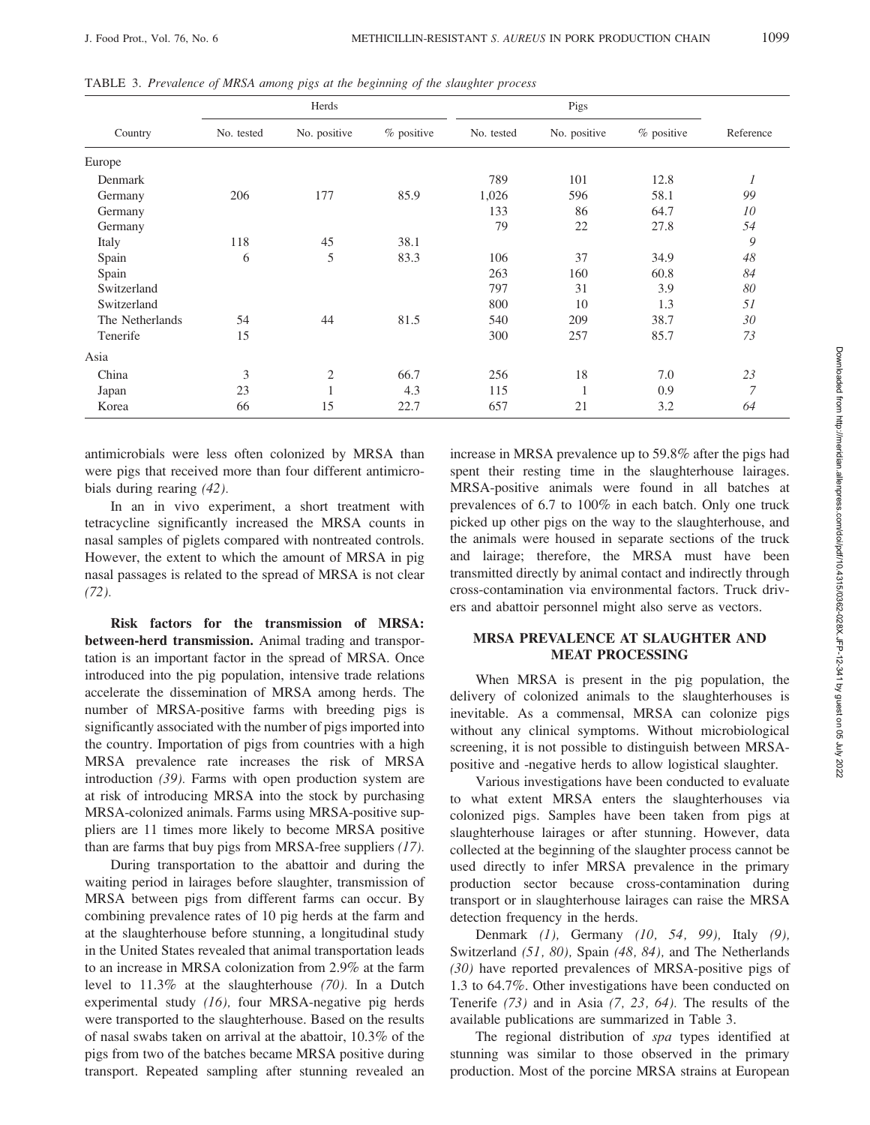|                 | Herds      |                |              | Pigs       |              |              |           |
|-----------------|------------|----------------|--------------|------------|--------------|--------------|-----------|
| Country         | No. tested | No. positive   | $%$ positive | No. tested | No. positive | $%$ positive | Reference |
| Europe          |            |                |              |            |              |              |           |
| Denmark         |            |                |              | 789        | 101          | 12.8         | 1         |
| Germany         | 206        | 177            | 85.9         | 1,026      | 596          | 58.1         | 99        |
| Germany         |            |                |              | 133        | 86           | 64.7         | 10        |
| Germany         |            |                |              | 79         | 22           | 27.8         | 54        |
| Italy           | 118        | 45             | 38.1         |            |              |              | 9         |
| Spain           | 6          | 5              | 83.3         | 106        | 37           | 34.9         | 48        |
| Spain           |            |                |              | 263        | 160          | 60.8         | 84        |
| Switzerland     |            |                |              | 797        | 31           | 3.9          | 80        |
| Switzerland     |            |                |              | 800        | 10           | 1.3          | 51        |
| The Netherlands | 54         | 44             | 81.5         | 540        | 209          | 38.7         | 30        |
| Tenerife        | 15         |                |              | 300        | 257          | 85.7         | 73        |
| Asia            |            |                |              |            |              |              |           |
| China           | 3          | $\overline{2}$ | 66.7         | 256        | 18           | 7.0          | 23        |
| Japan           | 23         |                | 4.3          | 115        | $\mathbf{1}$ | 0.9          | 7         |
| Korea           | 66         | 15             | 22.7         | 657        | 21           | 3.2          | 64        |

TABLE 3. Prevalence of MRSA among pigs at the beginning of the slaughter process

antimicrobials were less often colonized by MRSA than were pigs that received more than four different antimicrobials during rearing (42).

In an in vivo experiment, a short treatment with tetracycline significantly increased the MRSA counts in nasal samples of piglets compared with nontreated controls. However, the extent to which the amount of MRSA in pig nasal passages is related to the spread of MRSA is not clear (72).

Risk factors for the transmission of MRSA: between-herd transmission. Animal trading and transportation is an important factor in the spread of MRSA. Once introduced into the pig population, intensive trade relations accelerate the dissemination of MRSA among herds. The number of MRSA-positive farms with breeding pigs is significantly associated with the number of pigs imported into the country. Importation of pigs from countries with a high MRSA prevalence rate increases the risk of MRSA introduction (39). Farms with open production system are at risk of introducing MRSA into the stock by purchasing MRSA-colonized animals. Farms using MRSA-positive suppliers are 11 times more likely to become MRSA positive than are farms that buy pigs from MRSA-free suppliers (17).

During transportation to the abattoir and during the waiting period in lairages before slaughter, transmission of MRSA between pigs from different farms can occur. By combining prevalence rates of 10 pig herds at the farm and at the slaughterhouse before stunning, a longitudinal study in the United States revealed that animal transportation leads to an increase in MRSA colonization from 2.9% at the farm level to 11.3% at the slaughterhouse (70). In a Dutch experimental study (16), four MRSA-negative pig herds were transported to the slaughterhouse. Based on the results of nasal swabs taken on arrival at the abattoir, 10.3% of the pigs from two of the batches became MRSA positive during transport. Repeated sampling after stunning revealed an increase in MRSA prevalence up to 59.8% after the pigs had spent their resting time in the slaughterhouse lairages. MRSA-positive animals were found in all batches at prevalences of 6.7 to 100% in each batch. Only one truck picked up other pigs on the way to the slaughterhouse, and the animals were housed in separate sections of the truck and lairage; therefore, the MRSA must have been transmitted directly by animal contact and indirectly through cross-contamination via environmental factors. Truck drivers and abattoir personnel might also serve as vectors.

# MRSA PREVALENCE AT SLAUGHTER AND MEAT PROCESSING

When MRSA is present in the pig population, the delivery of colonized animals to the slaughterhouses is inevitable. As a commensal, MRSA can colonize pigs without any clinical symptoms. Without microbiological screening, it is not possible to distinguish between MRSApositive and -negative herds to allow logistical slaughter.

Various investigations have been conducted to evaluate to what extent MRSA enters the slaughterhouses via colonized pigs. Samples have been taken from pigs at slaughterhouse lairages or after stunning. However, data collected at the beginning of the slaughter process cannot be used directly to infer MRSA prevalence in the primary production sector because cross-contamination during transport or in slaughterhouse lairages can raise the MRSA detection frequency in the herds.

Denmark (1), Germany (10, 54, 99), Italy (9), Switzerland (51, 80), Spain (48, 84), and The Netherlands (30) have reported prevalences of MRSA-positive pigs of 1.3 to 64.7%. Other investigations have been conducted on Tenerife (73) and in Asia (7, 23, 64). The results of the available publications are summarized in Table 3.

The regional distribution of spa types identified at stunning was similar to those observed in the primary production. Most of the porcine MRSA strains at European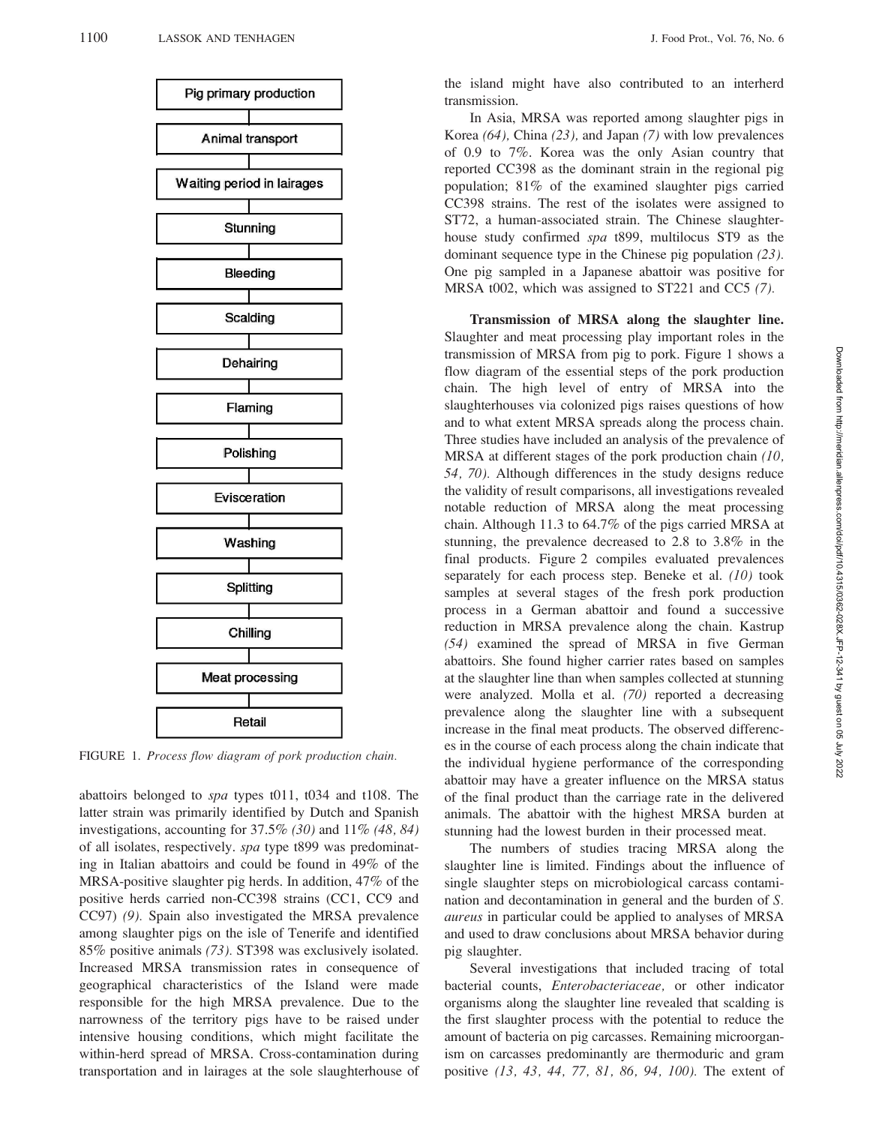

FIGURE 1. Process flow diagram of pork production chain.

abattoirs belonged to spa types t011, t034 and t108. The latter strain was primarily identified by Dutch and Spanish investigations, accounting for  $37.5\%$  (30) and  $11\%$  (48, 84) of all isolates, respectively. spa type t899 was predominating in Italian abattoirs and could be found in 49% of the MRSA-positive slaughter pig herds. In addition, 47% of the positive herds carried non-CC398 strains (CC1, CC9 and CC97) (9). Spain also investigated the MRSA prevalence among slaughter pigs on the isle of Tenerife and identified 85% positive animals (73). ST398 was exclusively isolated. Increased MRSA transmission rates in consequence of geographical characteristics of the Island were made responsible for the high MRSA prevalence. Due to the narrowness of the territory pigs have to be raised under intensive housing conditions, which might facilitate the within-herd spread of MRSA. Cross-contamination during transportation and in lairages at the sole slaughterhouse of the island might have also contributed to an interherd transmission.

In Asia, MRSA was reported among slaughter pigs in Korea (64), China (23), and Japan (7) with low prevalences of 0.9 to 7%. Korea was the only Asian country that reported CC398 as the dominant strain in the regional pig population; 81% of the examined slaughter pigs carried CC398 strains. The rest of the isolates were assigned to ST72, a human-associated strain. The Chinese slaughterhouse study confirmed spa t899, multilocus ST9 as the dominant sequence type in the Chinese pig population (23). One pig sampled in a Japanese abattoir was positive for MRSA t002, which was assigned to ST221 and CC5 (7).

Transmission of MRSA along the slaughter line. Slaughter and meat processing play important roles in the transmission of MRSA from pig to pork. Figure 1 shows a flow diagram of the essential steps of the pork production chain. The high level of entry of MRSA into the slaughterhouses via colonized pigs raises questions of how and to what extent MRSA spreads along the process chain. Three studies have included an analysis of the prevalence of MRSA at different stages of the pork production chain (10, 54, 70). Although differences in the study designs reduce the validity of result comparisons, all investigations revealed notable reduction of MRSA along the meat processing chain. Although 11.3 to 64.7% of the pigs carried MRSA at stunning, the prevalence decreased to 2.8 to 3.8% in the final products. Figure 2 compiles evaluated prevalences separately for each process step. Beneke et al. (10) took samples at several stages of the fresh pork production process in a German abattoir and found a successive reduction in MRSA prevalence along the chain. Kastrup (54) examined the spread of MRSA in five German abattoirs. She found higher carrier rates based on samples at the slaughter line than when samples collected at stunning were analyzed. Molla et al. (70) reported a decreasing prevalence along the slaughter line with a subsequent increase in the final meat products. The observed differences in the course of each process along the chain indicate that the individual hygiene performance of the corresponding abattoir may have a greater influence on the MRSA status of the final product than the carriage rate in the delivered animals. The abattoir with the highest MRSA burden at stunning had the lowest burden in their processed meat.

The numbers of studies tracing MRSA along the slaughter line is limited. Findings about the influence of single slaughter steps on microbiological carcass contamination and decontamination in general and the burden of S. aureus in particular could be applied to analyses of MRSA and used to draw conclusions about MRSA behavior during pig slaughter.

Several investigations that included tracing of total bacterial counts, Enterobacteriaceae, or other indicator organisms along the slaughter line revealed that scalding is the first slaughter process with the potential to reduce the amount of bacteria on pig carcasses. Remaining microorganism on carcasses predominantly are thermoduric and gram positive (13, 43, 44, 77, 81, 86, 94, 100). The extent of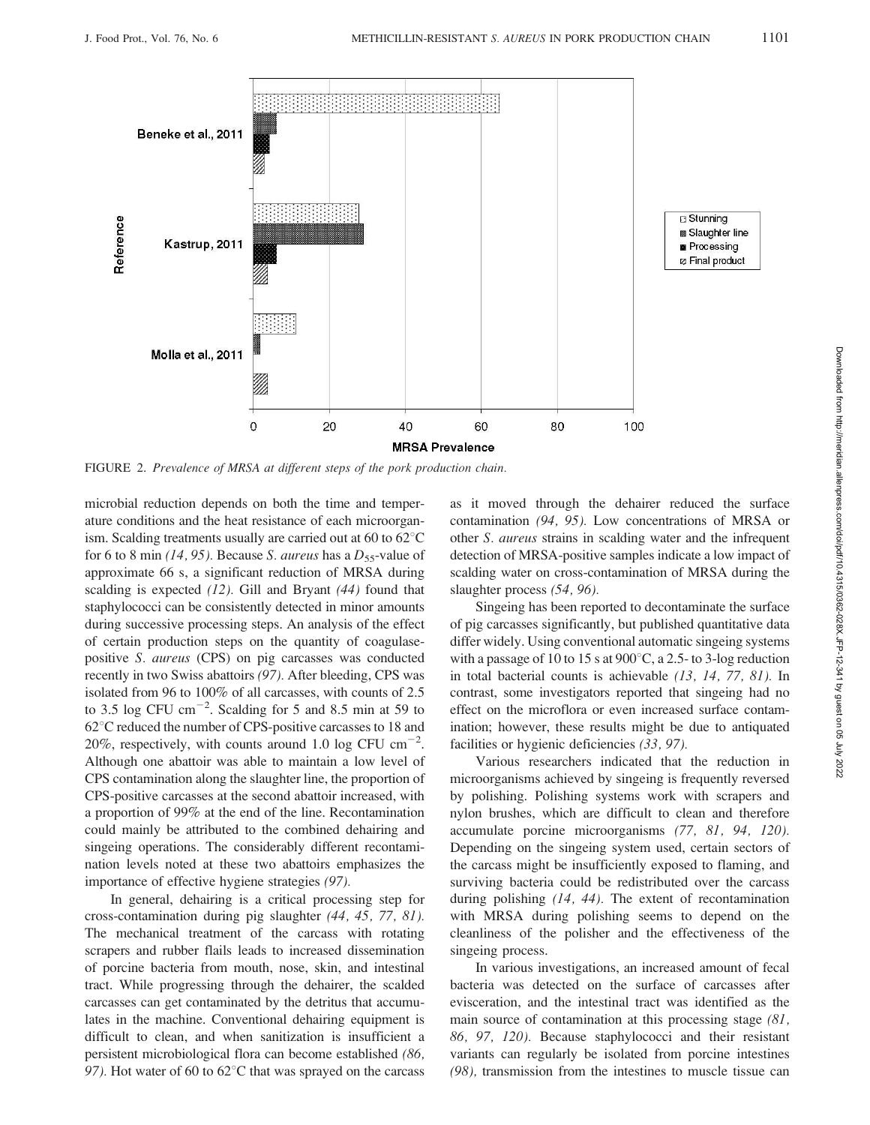

FIGURE 2. Prevalence of MRSA at different steps of the pork production chain.

microbial reduction depends on both the time and temperature conditions and the heat resistance of each microorganism. Scalding treatments usually are carried out at 60 to  $62^{\circ}$ C for 6 to 8 min (14, 95). Because S. aureus has a  $D_{55}$ -value of approximate 66 s, a significant reduction of MRSA during scalding is expected (12). Gill and Bryant (44) found that staphylococci can be consistently detected in minor amounts during successive processing steps. An analysis of the effect of certain production steps on the quantity of coagulasepositive S. aureus (CPS) on pig carcasses was conducted recently in two Swiss abattoirs (97). After bleeding, CPS was isolated from 96 to 100% of all carcasses, with counts of 2.5 to 3.5 log CFU  $\text{cm}^{-2}$ . Scalding for 5 and 8.5 min at 59 to  $62^{\circ}$ C reduced the number of CPS-positive carcasses to 18 and 20%, respectively, with counts around 1.0 log CFU  $cm^{-2}$ . Although one abattoir was able to maintain a low level of CPS contamination along the slaughter line, the proportion of CPS-positive carcasses at the second abattoir increased, with a proportion of 99% at the end of the line. Recontamination could mainly be attributed to the combined dehairing and singeing operations. The considerably different recontamination levels noted at these two abattoirs emphasizes the importance of effective hygiene strategies (97).

In general, dehairing is a critical processing step for cross-contamination during pig slaughter (44, 45, 77, 81). The mechanical treatment of the carcass with rotating scrapers and rubber flails leads to increased dissemination of porcine bacteria from mouth, nose, skin, and intestinal tract. While progressing through the dehairer, the scalded carcasses can get contaminated by the detritus that accumulates in the machine. Conventional dehairing equipment is difficult to clean, and when sanitization is insufficient a persistent microbiological flora can become established (86, 97). Hot water of 60 to  $62^{\circ}$ C that was sprayed on the carcass as it moved through the dehairer reduced the surface contamination (94, 95). Low concentrations of MRSA or other S. aureus strains in scalding water and the infrequent detection of MRSA-positive samples indicate a low impact of scalding water on cross-contamination of MRSA during the slaughter process (54, 96).

Singeing has been reported to decontaminate the surface of pig carcasses significantly, but published quantitative data differ widely. Using conventional automatic singeing systems with a passage of 10 to 15 s at  $900^{\circ}$ C, a 2.5- to 3-log reduction in total bacterial counts is achievable (13, 14, 77, 81). In contrast, some investigators reported that singeing had no effect on the microflora or even increased surface contamination; however, these results might be due to antiquated facilities or hygienic deficiencies (33, 97).

Various researchers indicated that the reduction in microorganisms achieved by singeing is frequently reversed by polishing. Polishing systems work with scrapers and nylon brushes, which are difficult to clean and therefore accumulate porcine microorganisms (77, 81, 94, 120). Depending on the singeing system used, certain sectors of the carcass might be insufficiently exposed to flaming, and surviving bacteria could be redistributed over the carcass during polishing (14, 44). The extent of recontamination with MRSA during polishing seems to depend on the cleanliness of the polisher and the effectiveness of the singeing process.

In various investigations, an increased amount of fecal bacteria was detected on the surface of carcasses after evisceration, and the intestinal tract was identified as the main source of contamination at this processing stage (81, 86, 97, 120). Because staphylococci and their resistant variants can regularly be isolated from porcine intestines (98), transmission from the intestines to muscle tissue can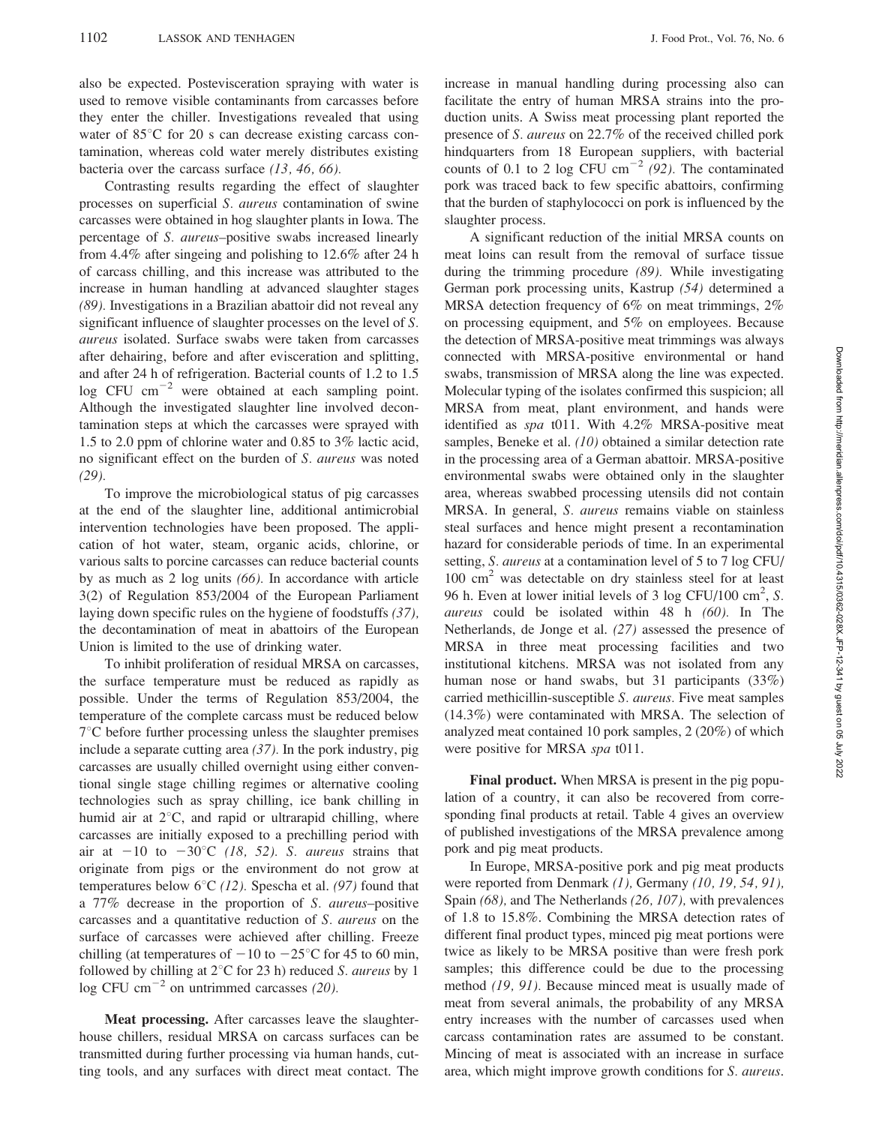also be expected. Postevisceration spraying with water is used to remove visible contaminants from carcasses before they enter the chiller. Investigations revealed that using water of  $85^{\circ}$ C for 20 s can decrease existing carcass contamination, whereas cold water merely distributes existing bacteria over the carcass surface  $(13, 46, 66)$ .

Contrasting results regarding the effect of slaughter processes on superficial S. aureus contamination of swine carcasses were obtained in hog slaughter plants in Iowa. The percentage of S. aureus–positive swabs increased linearly from 4.4% after singeing and polishing to 12.6% after 24 h of carcass chilling, and this increase was attributed to the increase in human handling at advanced slaughter stages (89). Investigations in a Brazilian abattoir did not reveal any significant influence of slaughter processes on the level of S. aureus isolated. Surface swabs were taken from carcasses after dehairing, before and after evisceration and splitting, and after 24 h of refrigeration. Bacterial counts of 1.2 to 1.5 log CFU  $cm^{-2}$  were obtained at each sampling point. Although the investigated slaughter line involved decontamination steps at which the carcasses were sprayed with 1.5 to 2.0 ppm of chlorine water and 0.85 to 3% lactic acid, no significant effect on the burden of S. aureus was noted (29).

To improve the microbiological status of pig carcasses at the end of the slaughter line, additional antimicrobial intervention technologies have been proposed. The application of hot water, steam, organic acids, chlorine, or various salts to porcine carcasses can reduce bacterial counts by as much as 2 log units (66). In accordance with article 3(2) of Regulation 853/2004 of the European Parliament laying down specific rules on the hygiene of foodstuffs (37), the decontamination of meat in abattoirs of the European Union is limited to the use of drinking water.

To inhibit proliferation of residual MRSA on carcasses, the surface temperature must be reduced as rapidly as possible. Under the terms of Regulation 853/2004, the temperature of the complete carcass must be reduced below  $7^{\circ}$ C before further processing unless the slaughter premises include a separate cutting area  $(37)$ . In the pork industry, pig carcasses are usually chilled overnight using either conventional single stage chilling regimes or alternative cooling technologies such as spray chilling, ice bank chilling in humid air at  $2^{\circ}$ C, and rapid or ultrarapid chilling, where carcasses are initially exposed to a prechilling period with air at  $-10$  to  $-30^{\circ}$ C (18, 52). S. aureus strains that originate from pigs or the environment do not grow at temperatures below  $6^{\circ}C$  (12). Spescha et al. (97) found that a 77% decrease in the proportion of S. aureus–positive carcasses and a quantitative reduction of S. aureus on the surface of carcasses were achieved after chilling. Freeze chilling (at temperatures of  $-10$  to  $-25^{\circ}$ C for 45 to 60 min, followed by chilling at  $2^{\circ}$ C for 23 h) reduced *S. aureus* by 1 log CFU cm<sup> $-2$ </sup> on untrimmed carcasses (20).

Meat processing. After carcasses leave the slaughterhouse chillers, residual MRSA on carcass surfaces can be transmitted during further processing via human hands, cutting tools, and any surfaces with direct meat contact. The increase in manual handling during processing also can facilitate the entry of human MRSA strains into the production units. A Swiss meat processing plant reported the presence of S. aureus on 22.7% of the received chilled pork hindquarters from 18 European suppliers, with bacterial counts of 0.1 to 2 log CFU cm<sup>-2</sup> (92). The contaminated pork was traced back to few specific abattoirs, confirming that the burden of staphylococci on pork is influenced by the slaughter process.

A significant reduction of the initial MRSA counts on meat loins can result from the removal of surface tissue during the trimming procedure (89). While investigating German pork processing units, Kastrup (54) determined a MRSA detection frequency of 6% on meat trimmings, 2% on processing equipment, and 5% on employees. Because the detection of MRSA-positive meat trimmings was always connected with MRSA-positive environmental or hand swabs, transmission of MRSA along the line was expected. Molecular typing of the isolates confirmed this suspicion; all MRSA from meat, plant environment, and hands were identified as spa t011. With 4.2% MRSA-positive meat samples, Beneke et al. (10) obtained a similar detection rate in the processing area of a German abattoir. MRSA-positive environmental swabs were obtained only in the slaughter area, whereas swabbed processing utensils did not contain MRSA. In general, S. aureus remains viable on stainless steal surfaces and hence might present a recontamination hazard for considerable periods of time. In an experimental setting, S. aureus at a contamination level of 5 to 7 log CFU/ 100 cm<sup>2</sup> was detectable on dry stainless steel for at least 96 h. Even at lower initial levels of 3 log CFU/100  $\text{cm}^2$ , S. aureus could be isolated within 48 h (60). In The Netherlands, de Jonge et al. (27) assessed the presence of MRSA in three meat processing facilities and two institutional kitchens. MRSA was not isolated from any human nose or hand swabs, but 31 participants (33%) carried methicillin-susceptible S. aureus. Five meat samples (14.3%) were contaminated with MRSA. The selection of analyzed meat contained 10 pork samples, 2 (20%) of which were positive for MRSA spa t011.

Final product. When MRSA is present in the pig population of a country, it can also be recovered from corresponding final products at retail. Table 4 gives an overview of published investigations of the MRSA prevalence among pork and pig meat products.

In Europe, MRSA-positive pork and pig meat products were reported from Denmark (1), Germany (10, 19, 54, 91), Spain (68), and The Netherlands (26, 107), with prevalences of 1.8 to 15.8%. Combining the MRSA detection rates of different final product types, minced pig meat portions were twice as likely to be MRSA positive than were fresh pork samples; this difference could be due to the processing method (19, 91). Because minced meat is usually made of meat from several animals, the probability of any MRSA entry increases with the number of carcasses used when carcass contamination rates are assumed to be constant. Mincing of meat is associated with an increase in surface area, which might improve growth conditions for S. aureus.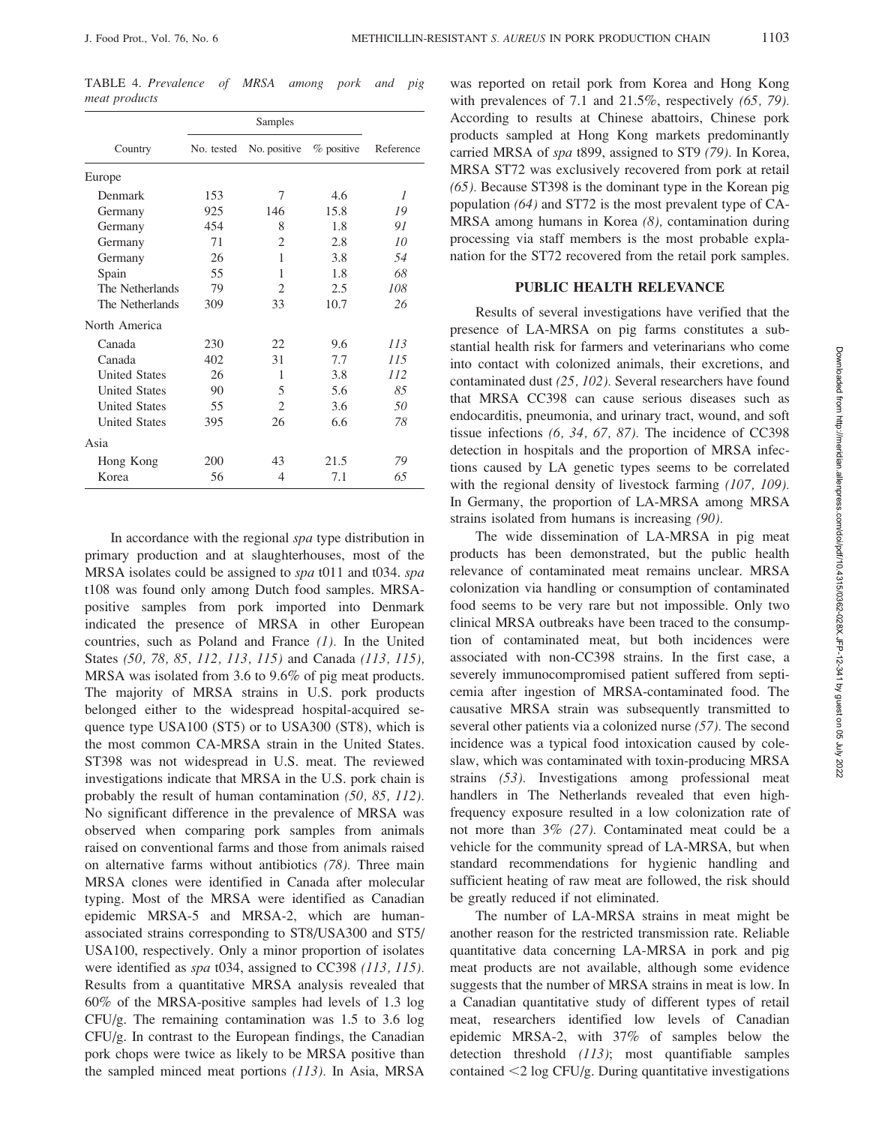TABLE 4. Prevalence of MRSA among pork and pig meat products

|                      | Samples    |                             |            |                |  |
|----------------------|------------|-----------------------------|------------|----------------|--|
| Country              | No. tested | No. positive                | % positive | Reference      |  |
| Europe               |            |                             |            |                |  |
| Denmark              | 153        | 7                           | 4.6        | $\overline{I}$ |  |
| Germany              | 925        | 146                         | 15.8       | 19             |  |
| Germany              | 454        | 8                           | 1.8        | 91             |  |
| Germany              | 71         | 2                           | 2.8        | 10             |  |
| Germany              | 26         | 1                           | 3.8        | 54             |  |
| Spain                | 55         | 1                           | 1.8        | 68             |  |
| The Netherlands      | 79         | 2                           | 2.5        | 108            |  |
| The Netherlands      | 309        | 33                          | 10.7       | 26             |  |
| North America        |            |                             |            |                |  |
| Canada               | 230        | 22                          | 9.6        | 113            |  |
| Canada               | 402        | 31                          | 7.7        | 115            |  |
| <b>United States</b> | 26         | 1                           | 3.8        | 112            |  |
| <b>United States</b> | 90         | 5                           | 5.6        | 85             |  |
| <b>United States</b> | 55         | $\mathcal{D}_{\mathcal{L}}$ | 3.6        | 50             |  |
| <b>United States</b> | 395        | 26                          | 6.6        | 78             |  |
| Asia                 |            |                             |            |                |  |
| Hong Kong            | 200        | 43                          | 21.5       | 79             |  |
| Korea                | 56         | 4                           | 7.1        | 65             |  |

In accordance with the regional spa type distribution in primary production and at slaughterhouses, most of the MRSA isolates could be assigned to spa t011 and t034. spa t108 was found only among Dutch food samples. MRSApositive samples from pork imported into Denmark indicated the presence of MRSA in other European countries, such as Poland and France  $(1)$ . In the United States (50, 78, 85, 112, 113, 115) and Canada (113, 115), MRSA was isolated from 3.6 to 9.6% of pig meat products. The majority of MRSA strains in U.S. pork products belonged either to the widespread hospital-acquired sequence type USA100 (ST5) or to USA300 (ST8), which is the most common CA-MRSA strain in the United States. ST398 was not widespread in U.S. meat. The reviewed investigations indicate that MRSA in the U.S. pork chain is probably the result of human contamination (50, 85, 112). No significant difference in the prevalence of MRSA was observed when comparing pork samples from animals raised on conventional farms and those from animals raised on alternative farms without antibiotics (78). Three main MRSA clones were identified in Canada after molecular typing. Most of the MRSA were identified as Canadian epidemic MRSA-5 and MRSA-2, which are humanassociated strains corresponding to ST8/USA300 and ST5/ USA100, respectively. Only a minor proportion of isolates were identified as *spa* t034, assigned to CC398 (113, 115). Results from a quantitative MRSA analysis revealed that 60% of the MRSA-positive samples had levels of 1.3 log CFU/g. The remaining contamination was 1.5 to 3.6 log CFU/g. In contrast to the European findings, the Canadian pork chops were twice as likely to be MRSA positive than the sampled minced meat portions (113). In Asia, MRSA was reported on retail pork from Korea and Hong Kong with prevalences of 7.1 and 21.5%, respectively (65, 79). According to results at Chinese abattoirs, Chinese pork products sampled at Hong Kong markets predominantly carried MRSA of spa t899, assigned to ST9 (79). In Korea, MRSA ST72 was exclusively recovered from pork at retail (65). Because ST398 is the dominant type in the Korean pig population (64) and ST72 is the most prevalent type of CA-MRSA among humans in Korea (8), contamination during processing via staff members is the most probable explanation for the ST72 recovered from the retail pork samples.

#### PUBLIC HEALTH RELEVANCE

Results of several investigations have verified that the presence of LA-MRSA on pig farms constitutes a substantial health risk for farmers and veterinarians who come into contact with colonized animals, their excretions, and contaminated dust (25, 102). Several researchers have found that MRSA CC398 can cause serious diseases such as endocarditis, pneumonia, and urinary tract, wound, and soft tissue infections (6, 34, 67, 87). The incidence of CC398 detection in hospitals and the proportion of MRSA infections caused by LA genetic types seems to be correlated with the regional density of livestock farming (107, 109). In Germany, the proportion of LA-MRSA among MRSA strains isolated from humans is increasing (90).

The wide dissemination of LA-MRSA in pig meat products has been demonstrated, but the public health relevance of contaminated meat remains unclear. MRSA colonization via handling or consumption of contaminated food seems to be very rare but not impossible. Only two clinical MRSA outbreaks have been traced to the consumption of contaminated meat, but both incidences were associated with non-CC398 strains. In the first case, a severely immunocompromised patient suffered from septicemia after ingestion of MRSA-contaminated food. The causative MRSA strain was subsequently transmitted to several other patients via a colonized nurse (57). The second incidence was a typical food intoxication caused by coleslaw, which was contaminated with toxin-producing MRSA strains (53). Investigations among professional meat handlers in The Netherlands revealed that even highfrequency exposure resulted in a low colonization rate of not more than 3% (27). Contaminated meat could be a vehicle for the community spread of LA-MRSA, but when standard recommendations for hygienic handling and sufficient heating of raw meat are followed, the risk should be greatly reduced if not eliminated.

The number of LA-MRSA strains in meat might be another reason for the restricted transmission rate. Reliable quantitative data concerning LA-MRSA in pork and pig meat products are not available, although some evidence suggests that the number of MRSA strains in meat is low. In a Canadian quantitative study of different types of retail meat, researchers identified low levels of Canadian epidemic MRSA-2, with 37% of samples below the detection threshold (113); most quantifiable samples contained  $\langle 2 \log CFU/g$ . During quantitative investigations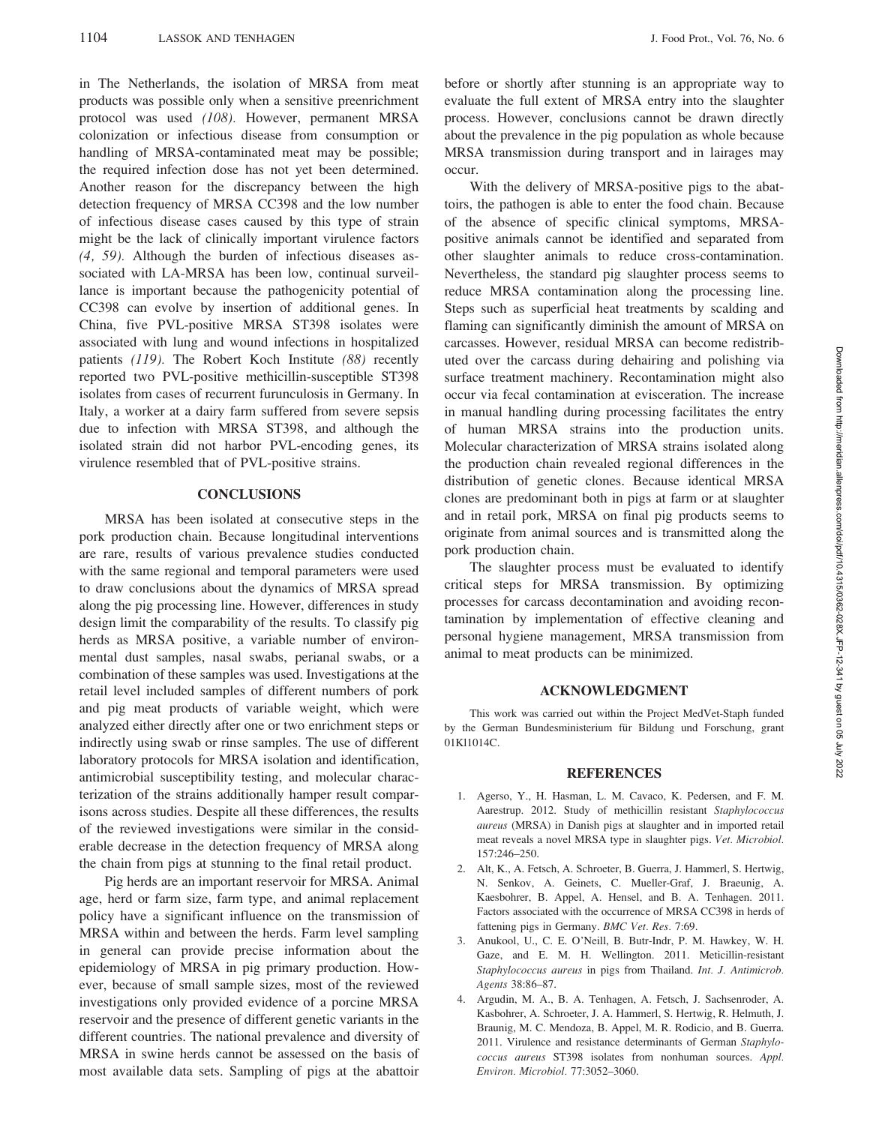in The Netherlands, the isolation of MRSA from meat products was possible only when a sensitive preenrichment protocol was used (108). However, permanent MRSA colonization or infectious disease from consumption or handling of MRSA-contaminated meat may be possible; the required infection dose has not yet been determined. Another reason for the discrepancy between the high detection frequency of MRSA CC398 and the low number of infectious disease cases caused by this type of strain might be the lack of clinically important virulence factors (4, 59). Although the burden of infectious diseases associated with LA-MRSA has been low, continual surveillance is important because the pathogenicity potential of CC398 can evolve by insertion of additional genes. In China, five PVL-positive MRSA ST398 isolates were associated with lung and wound infections in hospitalized patients (119). The Robert Koch Institute (88) recently reported two PVL-positive methicillin-susceptible ST398 isolates from cases of recurrent furunculosis in Germany. In Italy, a worker at a dairy farm suffered from severe sepsis due to infection with MRSA ST398, and although the isolated strain did not harbor PVL-encoding genes, its virulence resembled that of PVL-positive strains.

## **CONCLUSIONS**

MRSA has been isolated at consecutive steps in the pork production chain. Because longitudinal interventions are rare, results of various prevalence studies conducted with the same regional and temporal parameters were used to draw conclusions about the dynamics of MRSA spread along the pig processing line. However, differences in study design limit the comparability of the results. To classify pig herds as MRSA positive, a variable number of environmental dust samples, nasal swabs, perianal swabs, or a combination of these samples was used. Investigations at the retail level included samples of different numbers of pork and pig meat products of variable weight, which were analyzed either directly after one or two enrichment steps or indirectly using swab or rinse samples. The use of different laboratory protocols for MRSA isolation and identification, antimicrobial susceptibility testing, and molecular characterization of the strains additionally hamper result comparisons across studies. Despite all these differences, the results of the reviewed investigations were similar in the considerable decrease in the detection frequency of MRSA along the chain from pigs at stunning to the final retail product.

Pig herds are an important reservoir for MRSA. Animal age, herd or farm size, farm type, and animal replacement policy have a significant influence on the transmission of MRSA within and between the herds. Farm level sampling in general can provide precise information about the epidemiology of MRSA in pig primary production. However, because of small sample sizes, most of the reviewed investigations only provided evidence of a porcine MRSA reservoir and the presence of different genetic variants in the different countries. The national prevalence and diversity of MRSA in swine herds cannot be assessed on the basis of most available data sets. Sampling of pigs at the abattoir before or shortly after stunning is an appropriate way to evaluate the full extent of MRSA entry into the slaughter process. However, conclusions cannot be drawn directly about the prevalence in the pig population as whole because MRSA transmission during transport and in lairages may occur.

With the delivery of MRSA-positive pigs to the abattoirs, the pathogen is able to enter the food chain. Because of the absence of specific clinical symptoms, MRSApositive animals cannot be identified and separated from other slaughter animals to reduce cross-contamination. Nevertheless, the standard pig slaughter process seems to reduce MRSA contamination along the processing line. Steps such as superficial heat treatments by scalding and flaming can significantly diminish the amount of MRSA on carcasses. However, residual MRSA can become redistributed over the carcass during dehairing and polishing via surface treatment machinery. Recontamination might also occur via fecal contamination at evisceration. The increase in manual handling during processing facilitates the entry of human MRSA strains into the production units. Molecular characterization of MRSA strains isolated along the production chain revealed regional differences in the distribution of genetic clones. Because identical MRSA clones are predominant both in pigs at farm or at slaughter and in retail pork, MRSA on final pig products seems to originate from animal sources and is transmitted along the pork production chain.

The slaughter process must be evaluated to identify critical steps for MRSA transmission. By optimizing processes for carcass decontamination and avoiding recontamination by implementation of effective cleaning and personal hygiene management, MRSA transmission from animal to meat products can be minimized.

### ACKNOWLEDGMENT

This work was carried out within the Project MedVet-Staph funded by the German Bundesministerium für Bildung und Forschung, grant 01Kl1014C.

#### **REFERENCES**

- 1. Agerso, Y., H. Hasman, L. M. Cavaco, K. Pedersen, and F. M. Aarestrup. 2012. Study of methicillin resistant Staphylococcus aureus (MRSA) in Danish pigs at slaughter and in imported retail meat reveals a novel MRSA type in slaughter pigs. Vet. Microbiol. 157:246–250.
- 2. Alt, K., A. Fetsch, A. Schroeter, B. Guerra, J. Hammerl, S. Hertwig, N. Senkov, A. Geinets, C. Mueller-Graf, J. Braeunig, A. Kaesbohrer, B. Appel, A. Hensel, and B. A. Tenhagen. 2011. Factors associated with the occurrence of MRSA CC398 in herds of fattening pigs in Germany. BMC Vet. Res. 7:69.
- 3. Anukool, U., C. E. O'Neill, B. Butr-Indr, P. M. Hawkey, W. H. Gaze, and E. M. H. Wellington. 2011. Meticillin-resistant Staphylococcus aureus in pigs from Thailand. Int. J. Antimicrob. Agents 38:86–87.
- 4. Argudin, M. A., B. A. Tenhagen, A. Fetsch, J. Sachsenroder, A. Kasbohrer, A. Schroeter, J. A. Hammerl, S. Hertwig, R. Helmuth, J. Braunig, M. C. Mendoza, B. Appel, M. R. Rodicio, and B. Guerra. 2011. Virulence and resistance determinants of German Staphylococcus aureus ST398 isolates from nonhuman sources. Appl. Environ. Microbiol. 77:3052–3060.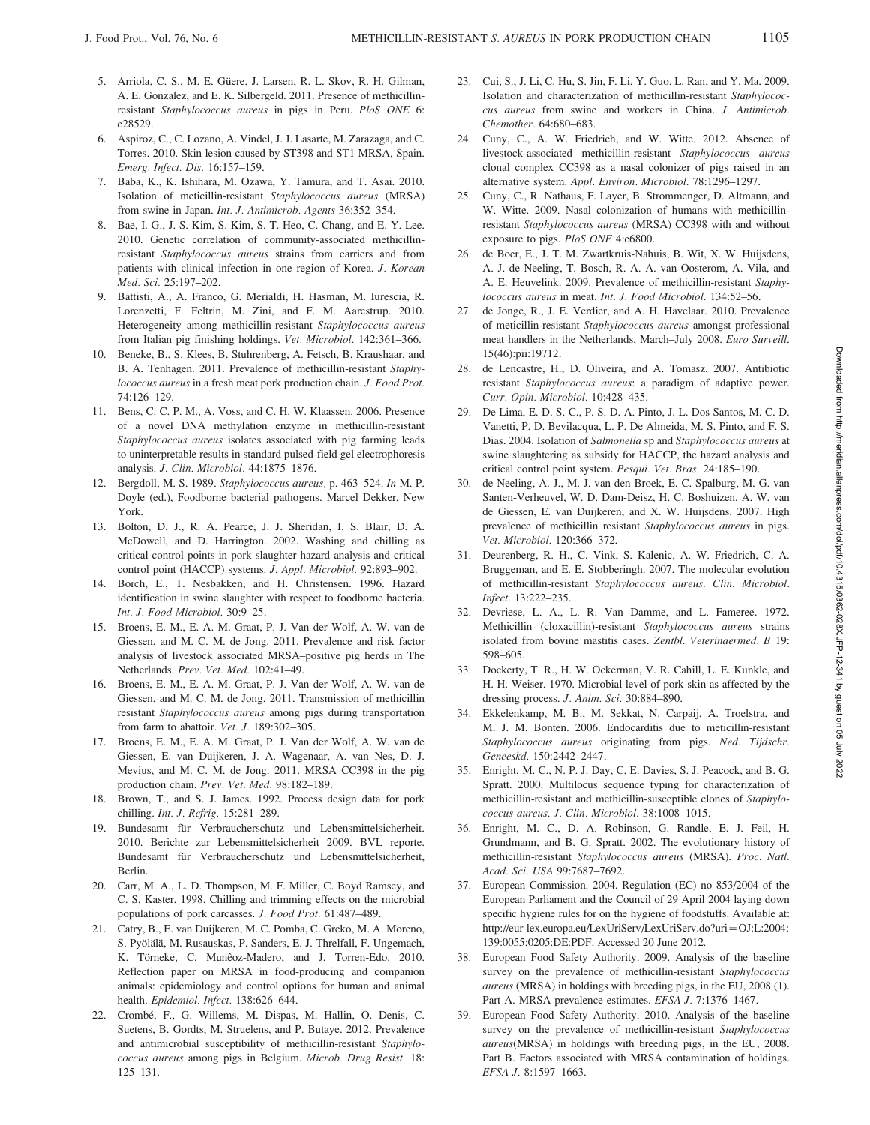- 5. Arriola, C. S., M. E. Güere, J. Larsen, R. L. Skov, R. H. Gilman, A. E. Gonzalez, and E. K. Silbergeld. 2011. Presence of methicillinresistant Staphylococcus aureus in pigs in Peru. PloS ONE 6: e28529.
- 6. Aspiroz, C., C. Lozano, A. Vindel, J. J. Lasarte, M. Zarazaga, and C. Torres. 2010. Skin lesion caused by ST398 and ST1 MRSA, Spain. Emerg. Infect. Dis. 16:157–159.
- 7. Baba, K., K. Ishihara, M. Ozawa, Y. Tamura, and T. Asai. 2010. Isolation of meticillin-resistant Staphylococcus aureus (MRSA) from swine in Japan. Int. J. Antimicrob. Agents 36:352–354.
- 8. Bae, I. G., J. S. Kim, S. Kim, S. T. Heo, C. Chang, and E. Y. Lee. 2010. Genetic correlation of community-associated methicillinresistant Staphylococcus aureus strains from carriers and from patients with clinical infection in one region of Korea. J. Korean Med. Sci. 25:197–202.
- 9. Battisti, A., A. Franco, G. Merialdi, H. Hasman, M. Iurescia, R. Lorenzetti, F. Feltrin, M. Zini, and F. M. Aarestrup. 2010. Heterogeneity among methicillin-resistant Staphylococcus aureus from Italian pig finishing holdings. Vet. Microbiol. 142:361–366.
- 10. Beneke, B., S. Klees, B. Stuhrenberg, A. Fetsch, B. Kraushaar, and B. A. Tenhagen. 2011. Prevalence of methicillin-resistant Staphylococcus aureus in a fresh meat pork production chain. J. Food Prot. 74:126–129.
- 11. Bens, C. C. P. M., A. Voss, and C. H. W. Klaassen. 2006. Presence of a novel DNA methylation enzyme in methicillin-resistant Staphylococcus aureus isolates associated with pig farming leads to uninterpretable results in standard pulsed-field gel electrophoresis analysis. J. Clin. Microbiol. 44:1875–1876.
- 12. Bergdoll, M. S. 1989. Staphylococcus aureus, p. 463–524. In M. P. Doyle (ed.), Foodborne bacterial pathogens. Marcel Dekker, New York.
- 13. Bolton, D. J., R. A. Pearce, J. J. Sheridan, I. S. Blair, D. A. McDowell, and D. Harrington. 2002. Washing and chilling as critical control points in pork slaughter hazard analysis and critical control point (HACCP) systems. J. Appl. Microbiol. 92:893–902.
- 14. Borch, E., T. Nesbakken, and H. Christensen. 1996. Hazard identification in swine slaughter with respect to foodborne bacteria. Int. J. Food Microbiol. 30:9–25.
- 15. Broens, E. M., E. A. M. Graat, P. J. Van der Wolf, A. W. van de Giessen, and M. C. M. de Jong. 2011. Prevalence and risk factor analysis of livestock associated MRSA–positive pig herds in The Netherlands. Prev. Vet. Med. 102:41–49.
- 16. Broens, E. M., E. A. M. Graat, P. J. Van der Wolf, A. W. van de Giessen, and M. C. M. de Jong. 2011. Transmission of methicillin resistant Staphylococcus aureus among pigs during transportation from farm to abattoir. Vet. J. 189:302-305.
- 17. Broens, E. M., E. A. M. Graat, P. J. Van der Wolf, A. W. van de Giessen, E. van Duijkeren, J. A. Wagenaar, A. van Nes, D. J. Mevius, and M. C. M. de Jong. 2011. MRSA CC398 in the pig production chain. Prev. Vet. Med. 98:182–189.
- 18. Brown, T., and S. J. James. 1992. Process design data for pork chilling. Int. J. Refrig. 15:281–289.
- 19. Bundesamt für Verbraucherschutz und Lebensmittelsicherheit. 2010. Berichte zur Lebensmittelsicherheit 2009. BVL reporte. Bundesamt für Verbraucherschutz und Lebensmittelsicherheit, Berlin.
- 20. Carr, M. A., L. D. Thompson, M. F. Miller, C. Boyd Ramsey, and C. S. Kaster. 1998. Chilling and trimming effects on the microbial populations of pork carcasses. J. Food Prot. 61:487–489.
- 21. Catry, B., E. van Duijkeren, M. C. Pomba, C. Greko, M. A. Moreno, S. Pyölälä, M. Rusauskas, P. Sanders, E. J. Threlfall, F. Ungemach, K. Törneke, C. Munêoz-Madero, and J. Torren-Edo. 2010. Reflection paper on MRSA in food-producing and companion animals: epidemiology and control options for human and animal health. Epidemiol. Infect. 138:626–644.
- 22. Crombé, F., G. Willems, M. Dispas, M. Hallin, O. Denis, C. Suetens, B. Gordts, M. Struelens, and P. Butaye. 2012. Prevalence and antimicrobial susceptibility of methicillin-resistant Staphylococcus aureus among pigs in Belgium. Microb. Drug Resist. 18: 125–131.
- 23. Cui, S., J. Li, C. Hu, S. Jin, F. Li, Y. Guo, L. Ran, and Y. Ma. 2009. Isolation and characterization of methicillin-resistant Staphylococcus aureus from swine and workers in China. J. Antimicrob. Chemother. 64:680–683.
- 24. Cuny, C., A. W. Friedrich, and W. Witte. 2012. Absence of livestock-associated methicillin-resistant Staphylococcus aureus clonal complex CC398 as a nasal colonizer of pigs raised in an alternative system. Appl. Environ. Microbiol. 78:1296–1297.
- 25. Cuny, C., R. Nathaus, F. Layer, B. Strommenger, D. Altmann, and W. Witte. 2009. Nasal colonization of humans with methicillinresistant Staphylococcus aureus (MRSA) CC398 with and without exposure to pigs. PloS ONE 4:e6800.
- 26. de Boer, E., J. T. M. Zwartkruis-Nahuis, B. Wit, X. W. Huijsdens, A. J. de Neeling, T. Bosch, R. A. A. van Oosterom, A. Vila, and A. E. Heuvelink. 2009. Prevalence of methicillin-resistant Staphylococcus aureus in meat. Int. J. Food Microbiol. 134:52–56.
- 27. de Jonge, R., J. E. Verdier, and A. H. Havelaar. 2010. Prevalence of meticillin-resistant Staphylococcus aureus amongst professional meat handlers in the Netherlands, March–July 2008. Euro Surveill. 15(46):pii:19712.
- 28. de Lencastre, H., D. Oliveira, and A. Tomasz. 2007. Antibiotic resistant Staphylococcus aureus: a paradigm of adaptive power. Curr. Opin. Microbiol. 10:428–435.
- 29. De Lima, E. D. S. C., P. S. D. A. Pinto, J. L. Dos Santos, M. C. D. Vanetti, P. D. Bevilacqua, L. P. De Almeida, M. S. Pinto, and F. S. Dias. 2004. Isolation of Salmonella sp and Staphylococcus aureus at swine slaughtering as subsidy for HACCP, the hazard analysis and critical control point system. Pesqui. Vet. Bras. 24:185–190.
- 30. de Neeling, A. J., M. J. van den Broek, E. C. Spalburg, M. G. van Santen-Verheuvel, W. D. Dam-Deisz, H. C. Boshuizen, A. W. van de Giessen, E. van Duijkeren, and X. W. Huijsdens. 2007. High prevalence of methicillin resistant Staphylococcus aureus in pigs. Vet. Microbiol. 120:366–372.
- 31. Deurenberg, R. H., C. Vink, S. Kalenic, A. W. Friedrich, C. A. Bruggeman, and E. E. Stobberingh. 2007. The molecular evolution of methicillin-resistant Staphylococcus aureus. Clin. Microbiol. Infect. 13:222–235.
- 32. Devriese, L. A., L. R. Van Damme, and L. Fameree. 1972. Methicillin (cloxacillin)-resistant Staphylococcus aureus strains isolated from bovine mastitis cases. Zentbl. Veterinaermed. B 19: 598–605.
- 33. Dockerty, T. R., H. W. Ockerman, V. R. Cahill, L. E. Kunkle, and H. H. Weiser. 1970. Microbial level of pork skin as affected by the dressing process. J. Anim. Sci. 30:884–890.
- 34. Ekkelenkamp, M. B., M. Sekkat, N. Carpaij, A. Troelstra, and M. J. M. Bonten. 2006. Endocarditis due to meticillin-resistant Staphylococcus aureus originating from pigs. Ned. Tijdschr. Geneeskd. 150:2442–2447.
- 35. Enright, M. C., N. P. J. Day, C. E. Davies, S. J. Peacock, and B. G. Spratt. 2000. Multilocus sequence typing for characterization of methicillin-resistant and methicillin-susceptible clones of Staphylococcus aureus. J. Clin. Microbiol. 38:1008–1015.
- 36. Enright, M. C., D. A. Robinson, G. Randle, E. J. Feil, H. Grundmann, and B. G. Spratt. 2002. The evolutionary history of methicillin-resistant Staphylococcus aureus (MRSA). Proc. Natl. Acad. Sci. USA 99:7687–7692.
- 37. European Commission. 2004. Regulation (EC) no 853/2004 of the European Parliament and the Council of 29 April 2004 laying down specific hygiene rules for on the hygiene of foodstuffs. Available at: http://eur-lex.europa.eu/LexUriServ/LexUriServ.do?uri=OJ:L:2004: 139:0055:0205:DE:PDF. Accessed 20 June 2012.
- 38. European Food Safety Authority. 2009. Analysis of the baseline survey on the prevalence of methicillin-resistant Staphylococcus aureus (MRSA) in holdings with breeding pigs, in the EU, 2008 (1). Part A. MRSA prevalence estimates. EFSA J. 7:1376–1467.
- 39. European Food Safety Authority. 2010. Analysis of the baseline survey on the prevalence of methicillin-resistant Staphylococcus aureus(MRSA) in holdings with breeding pigs, in the EU, 2008. Part B. Factors associated with MRSA contamination of holdings. EFSA J. 8:1597–1663.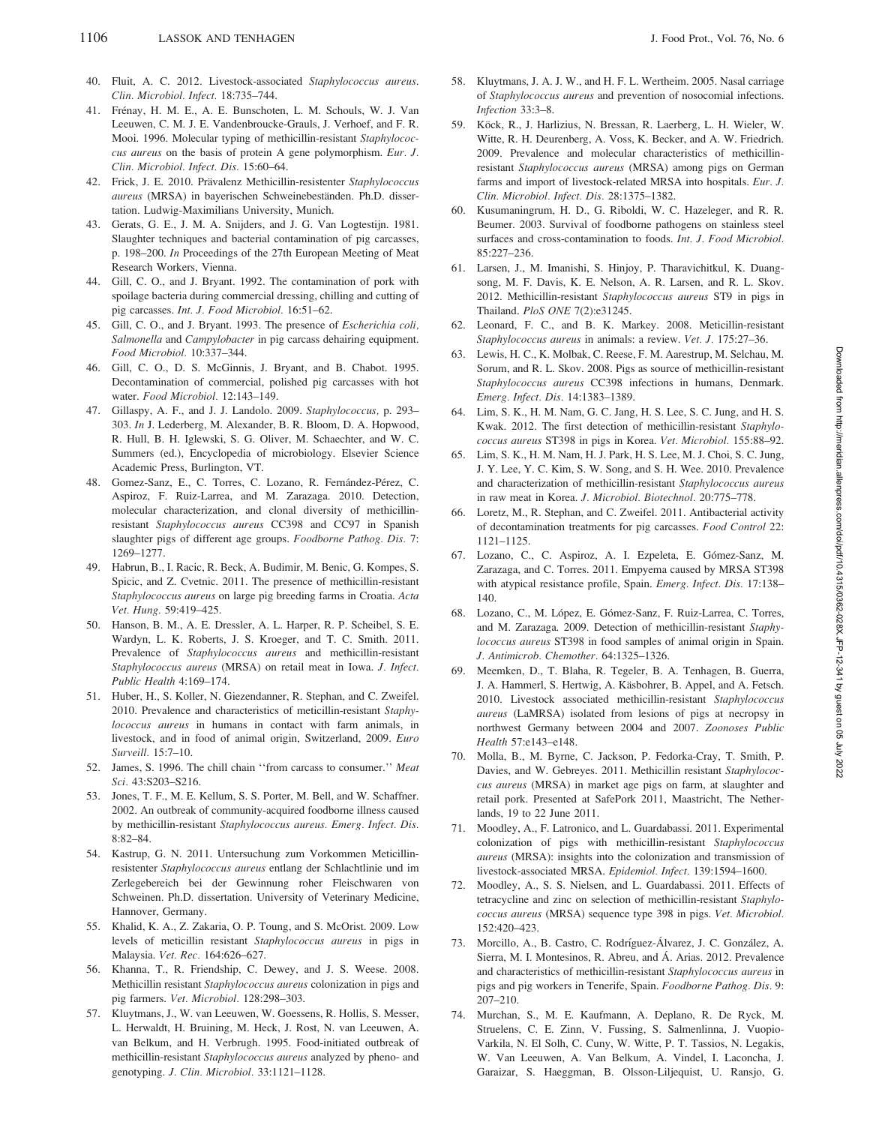- 40. Fluit, A. C. 2012. Livestock-associated Staphylococcus aureus. Clin. Microbiol. Infect. 18:735–744.
- 41. Frénay, H. M. E., A. E. Bunschoten, L. M. Schouls, W. J. Van Leeuwen, C. M. J. E. Vandenbroucke-Grauls, J. Verhoef, and F. R. Mooi. 1996. Molecular typing of methicillin-resistant Staphylococcus aureus on the basis of protein A gene polymorphism. Eur. J. Clin. Microbiol. Infect. Dis. 15:60–64.
- 42. Frick, J. E. 2010. Prävalenz Methicillin-resistenter Staphylococcus aureus (MRSA) in bayerischen Schweinebeständen. Ph.D. dissertation. Ludwig-Maximilians University, Munich.
- 43. Gerats, G. E., J. M. A. Snijders, and J. G. Van Logtestijn. 1981. Slaughter techniques and bacterial contamination of pig carcasses, p. 198–200. In Proceedings of the 27th European Meeting of Meat Research Workers, Vienna.
- 44. Gill, C. O., and J. Bryant. 1992. The contamination of pork with spoilage bacteria during commercial dressing, chilling and cutting of pig carcasses. Int. J. Food Microbiol. 16:51–62.
- 45. Gill, C. O., and J. Bryant. 1993. The presence of Escherichia coli, Salmonella and Campylobacter in pig carcass dehairing equipment. Food Microbiol. 10:337–344.
- 46. Gill, C. O., D. S. McGinnis, J. Bryant, and B. Chabot. 1995. Decontamination of commercial, polished pig carcasses with hot water. Food Microbiol. 12:143–149.
- 47. Gillaspy, A. F., and J. J. Landolo. 2009. Staphylococcus, p. 293– 303. In J. Lederberg, M. Alexander, B. R. Bloom, D. A. Hopwood, R. Hull, B. H. Iglewski, S. G. Oliver, M. Schaechter, and W. C. Summers (ed.), Encyclopedia of microbiology. Elsevier Science Academic Press, Burlington, VT.
- 48. Gomez-Sanz, E., C. Torres, C. Lozano, R. Fernández-Pérez, C. Aspiroz, F. Ruiz-Larrea, and M. Zarazaga. 2010. Detection, molecular characterization, and clonal diversity of methicillinresistant Staphylococcus aureus CC398 and CC97 in Spanish slaughter pigs of different age groups. Foodborne Pathog. Dis. 7: 1269–1277.
- 49. Habrun, B., I. Racic, R. Beck, A. Budimir, M. Benic, G. Kompes, S. Spicic, and Z. Cvetnic. 2011. The presence of methicillin-resistant Staphylococcus aureus on large pig breeding farms in Croatia. Acta Vet. Hung. 59:419–425.
- 50. Hanson, B. M., A. E. Dressler, A. L. Harper, R. P. Scheibel, S. E. Wardyn, L. K. Roberts, J. S. Kroeger, and T. C. Smith. 2011. Prevalence of Staphylococcus aureus and methicillin-resistant Staphylococcus aureus (MRSA) on retail meat in Iowa. J. Infect. Public Health 4:169–174.
- 51. Huber, H., S. Koller, N. Giezendanner, R. Stephan, and C. Zweifel. 2010. Prevalence and characteristics of meticillin-resistant Staphylococcus aureus in humans in contact with farm animals, in livestock, and in food of animal origin, Switzerland, 2009. Euro Surveill. 15:7–10.
- 52. James, S. 1996. The chill chain "from carcass to consumer." Meat Sci. 43:S203–S216.
- 53. Jones, T. F., M. E. Kellum, S. S. Porter, M. Bell, and W. Schaffner. 2002. An outbreak of community-acquired foodborne illness caused by methicillin-resistant Staphylococcus aureus. Emerg. Infect. Dis. 8:82–84.
- 54. Kastrup, G. N. 2011. Untersuchung zum Vorkommen Meticillinresistenter Staphylococcus aureus entlang der Schlachtlinie und im Zerlegebereich bei der Gewinnung roher Fleischwaren von Schweinen. Ph.D. dissertation. University of Veterinary Medicine, Hannover, Germany.
- 55. Khalid, K. A., Z. Zakaria, O. P. Toung, and S. McOrist. 2009. Low levels of meticillin resistant Staphylococcus aureus in pigs in Malaysia. Vet. Rec. 164:626–627.
- 56. Khanna, T., R. Friendship, C. Dewey, and J. S. Weese. 2008. Methicillin resistant Staphylococcus aureus colonization in pigs and pig farmers. Vet. Microbiol. 128:298–303.
- 57. Kluytmans, J., W. van Leeuwen, W. Goessens, R. Hollis, S. Messer, L. Herwaldt, H. Bruining, M. Heck, J. Rost, N. van Leeuwen, A. van Belkum, and H. Verbrugh. 1995. Food-initiated outbreak of methicillin-resistant Staphylococcus aureus analyzed by pheno- and genotyping. J. Clin. Microbiol. 33:1121–1128.
- 58. Kluytmans, J. A. J. W., and H. F. L. Wertheim. 2005. Nasal carriage of Staphylococcus aureus and prevention of nosocomial infections. Infection 33:3–8.
- 59. Köck, R., J. Harlizius, N. Bressan, R. Laerberg, L. H. Wieler, W. Witte, R. H. Deurenberg, A. Voss, K. Becker, and A. W. Friedrich. 2009. Prevalence and molecular characteristics of methicillinresistant Staphylococcus aureus (MRSA) among pigs on German farms and import of livestock-related MRSA into hospitals. Eur. J. Clin. Microbiol. Infect. Dis. 28:1375–1382.
- 60. Kusumaningrum, H. D., G. Riboldi, W. C. Hazeleger, and R. R. Beumer. 2003. Survival of foodborne pathogens on stainless steel surfaces and cross-contamination to foods. Int. J. Food Microbiol. 85:227–236.
- 61. Larsen, J., M. Imanishi, S. Hinjoy, P. Tharavichitkul, K. Duangsong, M. F. Davis, K. E. Nelson, A. R. Larsen, and R. L. Skov. 2012. Methicillin-resistant Staphylococcus aureus ST9 in pigs in Thailand. PloS ONE 7(2):e31245.
- 62. Leonard, F. C., and B. K. Markey. 2008. Meticillin-resistant Staphylococcus aureus in animals: a review. Vet. J. 175:27–36.
- 63. Lewis, H. C., K. Molbak, C. Reese, F. M. Aarestrup, M. Selchau, M. Sorum, and R. L. Skov. 2008. Pigs as source of methicillin-resistant Staphylococcus aureus CC398 infections in humans, Denmark. Emerg. Infect. Dis. 14:1383–1389.
- 64. Lim, S. K., H. M. Nam, G. C. Jang, H. S. Lee, S. C. Jung, and H. S. Kwak. 2012. The first detection of methicillin-resistant Staphylococcus aureus ST398 in pigs in Korea. Vet. Microbiol. 155:88–92.
- 65. Lim, S. K., H. M. Nam, H. J. Park, H. S. Lee, M. J. Choi, S. C. Jung, J. Y. Lee, Y. C. Kim, S. W. Song, and S. H. Wee. 2010. Prevalence and characterization of methicillin-resistant Staphylococcus aureus in raw meat in Korea. J. Microbiol. Biotechnol. 20:775–778.
- 66. Loretz, M., R. Stephan, and C. Zweifel. 2011. Antibacterial activity of decontamination treatments for pig carcasses. Food Control 22: 1121–1125.
- 67. Lozano, C., C. Aspiroz, A. I. Ezpeleta, E. Gómez-Sanz, M. Zarazaga, and C. Torres. 2011. Empyema caused by MRSA ST398 with atypical resistance profile, Spain. Emerg. Infect. Dis. 17:138-140.
- 68. Lozano, C., M. López, E. Gómez-Sanz, F. Ruiz-Larrea, C. Torres, and M. Zarazaga. 2009. Detection of methicillin-resistant Staphylococcus aureus ST398 in food samples of animal origin in Spain. J. Antimicrob. Chemother. 64:1325–1326.
- 69. Meemken, D., T. Blaha, R. Tegeler, B. A. Tenhagen, B. Guerra, J. A. Hammerl, S. Hertwig, A. Käsbohrer, B. Appel, and A. Fetsch. 2010. Livestock associated methicillin-resistant Staphylococcus aureus (LaMRSA) isolated from lesions of pigs at necropsy in northwest Germany between 2004 and 2007. Zoonoses Public Health 57:e143–e148.
- 70. Molla, B., M. Byrne, C. Jackson, P. Fedorka-Cray, T. Smith, P. Davies, and W. Gebreyes. 2011. Methicillin resistant Staphylococcus aureus (MRSA) in market age pigs on farm, at slaughter and retail pork. Presented at SafePork 2011, Maastricht, The Netherlands, 19 to 22 June 2011.
- 71. Moodley, A., F. Latronico, and L. Guardabassi. 2011. Experimental colonization of pigs with methicillin-resistant Staphylococcus aureus (MRSA): insights into the colonization and transmission of livestock-associated MRSA. Epidemiol. Infect. 139:1594–1600.
- 72. Moodley, A., S. S. Nielsen, and L. Guardabassi. 2011. Effects of tetracycline and zinc on selection of methicillin-resistant Staphylococcus aureus (MRSA) sequence type 398 in pigs. Vet. Microbiol. 152:420–423.
- 73. Morcillo, A., B. Castro, C. Rodríguez-Álvarez, J. C. González, A. Sierra, M. I. Montesinos, R. Abreu, and Á. Arias. 2012. Prevalence and characteristics of methicillin-resistant Staphylococcus aureus in pigs and pig workers in Tenerife, Spain. Foodborne Pathog. Dis. 9: 207–210.
- 74. Murchan, S., M. E. Kaufmann, A. Deplano, R. De Ryck, M. Struelens, C. E. Zinn, V. Fussing, S. Salmenlinna, J. Vuopio-Varkila, N. El Solh, C. Cuny, W. Witte, P. T. Tassios, N. Legakis, W. Van Leeuwen, A. Van Belkum, A. Vindel, I. Laconcha, J. Garaizar, S. Haeggman, B. Olsson-Liljequist, U. Ransjo, G.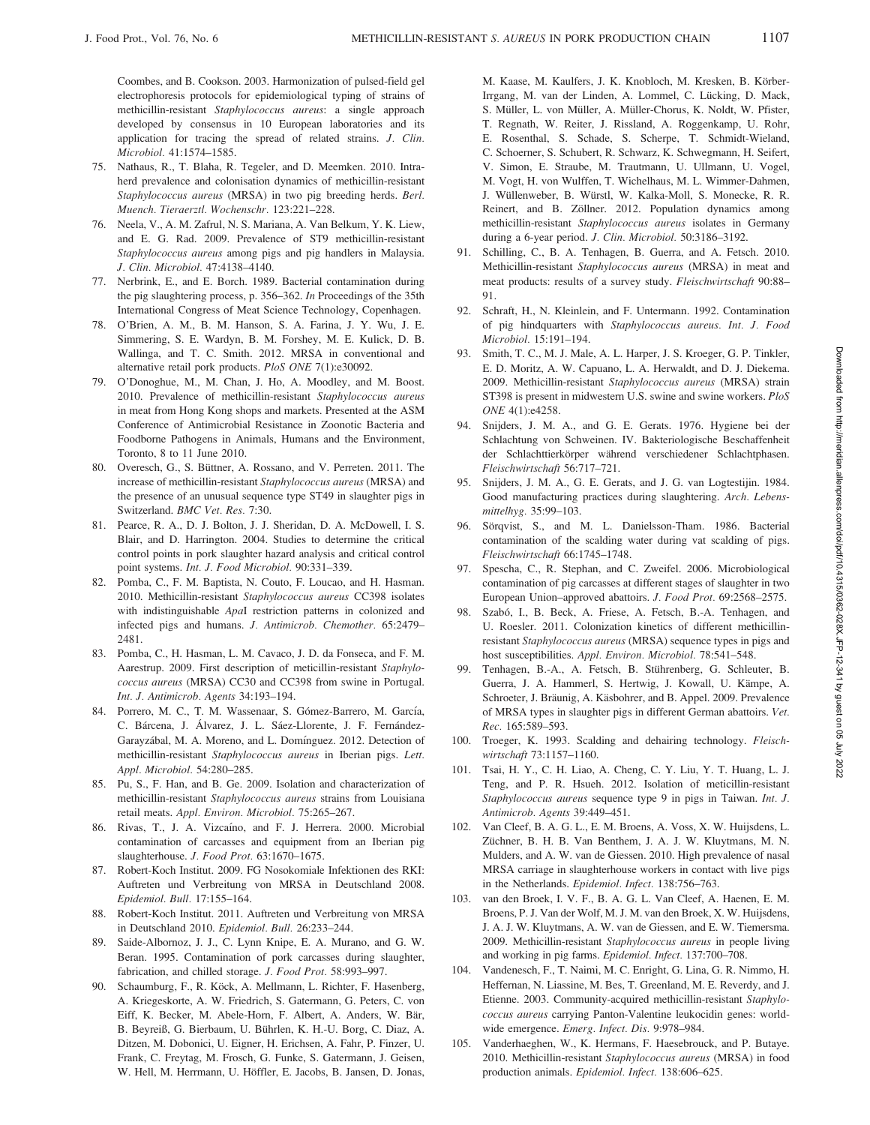Coombes, and B. Cookson. 2003. Harmonization of pulsed-field gel electrophoresis protocols for epidemiological typing of strains of methicillin-resistant Staphylococcus aureus: a single approach developed by consensus in 10 European laboratories and its application for tracing the spread of related strains. J. Clin. Microbiol. 41:1574–1585.

- 75. Nathaus, R., T. Blaha, R. Tegeler, and D. Meemken. 2010. Intraherd prevalence and colonisation dynamics of methicillin-resistant Staphylococcus aureus (MRSA) in two pig breeding herds. Berl. Muench. Tieraerztl. Wochenschr. 123:221–228.
- 76. Neela, V., A. M. Zafrul, N. S. Mariana, A. Van Belkum, Y. K. Liew, and E. G. Rad. 2009. Prevalence of ST9 methicillin-resistant Staphylococcus aureus among pigs and pig handlers in Malaysia. J. Clin. Microbiol. 47:4138–4140.
- 77. Nerbrink, E., and E. Borch. 1989. Bacterial contamination during the pig slaughtering process, p. 356–362. In Proceedings of the 35th International Congress of Meat Science Technology, Copenhagen.
- 78. O'Brien, A. M., B. M. Hanson, S. A. Farina, J. Y. Wu, J. E. Simmering, S. E. Wardyn, B. M. Forshey, M. E. Kulick, D. B. Wallinga, and T. C. Smith. 2012. MRSA in conventional and alternative retail pork products. PloS ONE 7(1):e30092.
- 79. O'Donoghue, M., M. Chan, J. Ho, A. Moodley, and M. Boost. 2010. Prevalence of methicillin-resistant Staphylococcus aureus in meat from Hong Kong shops and markets. Presented at the ASM Conference of Antimicrobial Resistance in Zoonotic Bacteria and Foodborne Pathogens in Animals, Humans and the Environment, Toronto, 8 to 11 June 2010.
- 80. Overesch, G., S. Büttner, A. Rossano, and V. Perreten. 2011. The increase of methicillin-resistant Staphylococcus aureus (MRSA) and the presence of an unusual sequence type ST49 in slaughter pigs in Switzerland. BMC Vet. Res. 7:30.
- 81. Pearce, R. A., D. J. Bolton, J. J. Sheridan, D. A. McDowell, I. S. Blair, and D. Harrington. 2004. Studies to determine the critical control points in pork slaughter hazard analysis and critical control point systems. Int. J. Food Microbiol. 90:331–339.
- 82. Pomba, C., F. M. Baptista, N. Couto, F. Loucao, and H. Hasman. 2010. Methicillin-resistant Staphylococcus aureus CC398 isolates with indistinguishable ApaI restriction patterns in colonized and infected pigs and humans. J. Antimicrob. Chemother. 65:2479– 2481.
- 83. Pomba, C., H. Hasman, L. M. Cavaco, J. D. da Fonseca, and F. M. Aarestrup. 2009. First description of meticillin-resistant Staphylococcus aureus (MRSA) CC30 and CC398 from swine in Portugal. Int. J. Antimicrob. Agents 34:193–194.
- 84. Porrero, M. C., T. M. Wassenaar, S. Gómez-Barrero, M. García, C. Bárcena, J. Álvarez, J. L. Sáez-Llorente, J. F. Fernández-Garayzábal, M. A. Moreno, and L. Domínguez. 2012. Detection of methicillin-resistant Staphylococcus aureus in Iberian pigs. Lett. Appl. Microbiol. 54:280–285.
- 85. Pu, S., F. Han, and B. Ge. 2009. Isolation and characterization of methicillin-resistant Staphylococcus aureus strains from Louisiana retail meats. Appl. Environ. Microbiol. 75:265–267.
- 86. Rivas, T., J. A. Vizcaíno, and F. J. Herrera. 2000. Microbial contamination of carcasses and equipment from an Iberian pig slaughterhouse. J. Food Prot. 63:1670-1675.
- 87. Robert-Koch Institut. 2009. FG Nosokomiale Infektionen des RKI: Auftreten und Verbreitung von MRSA in Deutschland 2008. Epidemiol. Bull. 17:155–164.
- 88. Robert-Koch Institut. 2011. Auftreten und Verbreitung von MRSA in Deutschland 2010. Epidemiol. Bull. 26:233–244.
- 89. Saide-Albornoz, J. J., C. Lynn Knipe, E. A. Murano, and G. W. Beran. 1995. Contamination of pork carcasses during slaughter, fabrication, and chilled storage. J. Food Prot. 58:993–997.
- 90. Schaumburg, F., R. Köck, A. Mellmann, L. Richter, F. Hasenberg, A. Kriegeskorte, A. W. Friedrich, S. Gatermann, G. Peters, C. von Eiff, K. Becker, M. Abele-Horn, F. Albert, A. Anders, W. Bär, B. Beyreiß, G. Bierbaum, U. Bührlen, K. H.-U. Borg, C. Diaz, A. Ditzen, M. Dobonici, U. Eigner, H. Erichsen, A. Fahr, P. Finzer, U. Frank, C. Freytag, M. Frosch, G. Funke, S. Gatermann, J. Geisen, W. Hell, M. Herrmann, U. Höffler, E. Jacobs, B. Jansen, D. Jonas,

M. Kaase, M. Kaulfers, J. K. Knobloch, M. Kresken, B. Körber-Irrgang, M. van der Linden, A. Lommel, C. Lücking, D. Mack, S. Müller, L. von Müller, A. Müller-Chorus, K. Noldt, W. Pfister, T. Regnath, W. Reiter, J. Rissland, A. Roggenkamp, U. Rohr, E. Rosenthal, S. Schade, S. Scherpe, T. Schmidt-Wieland, C. Schoerner, S. Schubert, R. Schwarz, K. Schwegmann, H. Seifert, V. Simon, E. Straube, M. Trautmann, U. Ullmann, U. Vogel, M. Vogt, H. von Wulffen, T. Wichelhaus, M. L. Wimmer-Dahmen, J. Wu¨llenweber, B. Wu¨rstl, W. Kalka-Moll, S. Monecke, R. R. Reinert, and B. Zöllner. 2012. Population dynamics among methicillin-resistant Staphylococcus aureus isolates in Germany during a 6-year period. J. Clin. Microbiol. 50:3186–3192.

- 91. Schilling, C., B. A. Tenhagen, B. Guerra, and A. Fetsch. 2010. Methicillin-resistant Staphylococcus aureus (MRSA) in meat and meat products: results of a survey study. Fleischwirtschaft 90:88– 91.
- 92. Schraft, H., N. Kleinlein, and F. Untermann. 1992. Contamination of pig hindquarters with Staphylococcus aureus. Int. J. Food Microbiol. 15:191–194.
- 93. Smith, T. C., M. J. Male, A. L. Harper, J. S. Kroeger, G. P. Tinkler, E. D. Moritz, A. W. Capuano, L. A. Herwaldt, and D. J. Diekema. 2009. Methicillin-resistant Staphylococcus aureus (MRSA) strain ST398 is present in midwestern U.S. swine and swine workers. PloS ONE 4(1):e4258.
- 94. Snijders, J. M. A., and G. E. Gerats. 1976. Hygiene bei der Schlachtung von Schweinen. IV. Bakteriologische Beschaffenheit der Schlachttierkörper während verschiedener Schlachtphasen. Fleischwirtschaft 56:717–721.
- 95. Snijders, J. M. A., G. E. Gerats, and J. G. van Logtestijin. 1984. Good manufacturing practices during slaughtering. Arch. Lebensmittelhyg. 35:99–103.
- 96. Sörqvist, S., and M. L. Danielsson-Tham. 1986. Bacterial contamination of the scalding water during vat scalding of pigs. Fleischwirtschaft 66:1745–1748.
- 97. Spescha, C., R. Stephan, and C. Zweifel. 2006. Microbiological contamination of pig carcasses at different stages of slaughter in two European Union–approved abattoirs. J. Food Prot. 69:2568–2575.
- 98. Szabó, I., B. Beck, A. Friese, A. Fetsch, B.-A. Tenhagen, and U. Roesler. 2011. Colonization kinetics of different methicillinresistant Staphylococcus aureus (MRSA) sequence types in pigs and host susceptibilities. Appl. Environ. Microbiol. 78:541–548.
- 99. Tenhagen, B.-A., A. Fetsch, B. Stührenberg, G. Schleuter, B. Guerra, J. A. Hammerl, S. Hertwig, J. Kowall, U. Kämpe, A. Schroeter, J. Bräunig, A. Käsbohrer, and B. Appel. 2009. Prevalence of MRSA types in slaughter pigs in different German abattoirs. Vet. Rec. 165:589–593.
- 100. Troeger, K. 1993. Scalding and dehairing technology. Fleischwirtschaft 73:1157–1160.
- 101. Tsai, H. Y., C. H. Liao, A. Cheng, C. Y. Liu, Y. T. Huang, L. J. Teng, and P. R. Hsueh. 2012. Isolation of meticillin-resistant Staphylococcus aureus sequence type 9 in pigs in Taiwan. Int. J. Antimicrob. Agents 39:449–451.
- 102. Van Cleef, B. A. G. L., E. M. Broens, A. Voss, X. W. Huijsdens, L. Züchner, B. H. B. Van Benthem, J. A. J. W. Kluytmans, M. N. Mulders, and A. W. van de Giessen. 2010. High prevalence of nasal MRSA carriage in slaughterhouse workers in contact with live pigs in the Netherlands. Epidemiol. Infect. 138:756–763.
- 103. van den Broek, I. V. F., B. A. G. L. Van Cleef, A. Haenen, E. M. Broens, P. J. Van der Wolf, M. J. M. van den Broek, X. W. Huijsdens, J. A. J. W. Kluytmans, A. W. van de Giessen, and E. W. Tiemersma. 2009. Methicillin-resistant Staphylococcus aureus in people living and working in pig farms. Epidemiol. Infect. 137:700–708.
- 104. Vandenesch, F., T. Naimi, M. C. Enright, G. Lina, G. R. Nimmo, H. Heffernan, N. Liassine, M. Bes, T. Greenland, M. E. Reverdy, and J. Etienne. 2003. Community-acquired methicillin-resistant Staphylococcus aureus carrying Panton-Valentine leukocidin genes: worldwide emergence. Emerg. Infect. Dis. 9:978–984.
- 105. Vanderhaeghen, W., K. Hermans, F. Haesebrouck, and P. Butaye. 2010. Methicillin-resistant Staphylococcus aureus (MRSA) in food production animals. Epidemiol. Infect. 138:606–625.